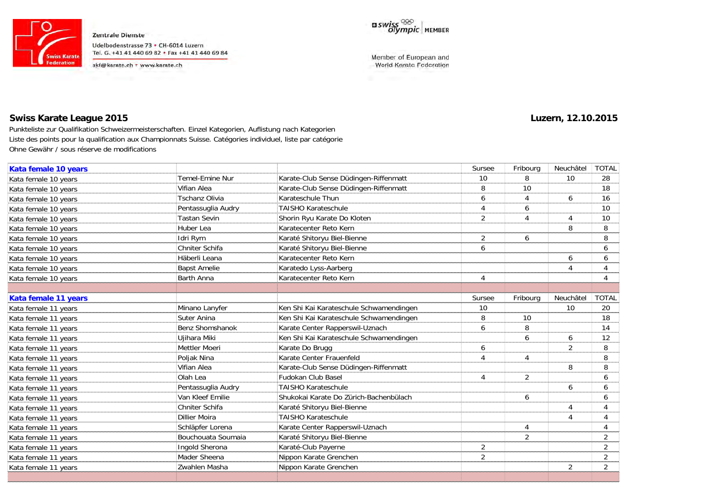

Zentrale Dienste Udelbodenstrasse 73 · CH-6014 Luzern Tel. G. +41 41 440 69 82 + Fax +41 41 440 69 84

skf@karate.ch + www.karate.ch



Member of European and World Karate Federation

# **Swiss Karate League 2015 Luzern, 12.10.2015**

Punkteliste zur Qualifikation Schweizermeisterschaften. Einzel Kategorien, Auflistung nach Kategorien Liste des points pour la qualification aux Championnats Suisse. Catégories individuel, liste par catégorie Ohne Gewähr / sous réserve de modifications

| Kata female 10 years |                       |                                         | Sursee         | Fribourg       | Neuchâtel      | <b>TOTAL</b>   |
|----------------------|-----------------------|-----------------------------------------|----------------|----------------|----------------|----------------|
| Kata female 10 years | Temel-Emine Nur       | Karate-Club Sense Düdingen-Riffenmatt   | 10             | 8              | 10             | 28             |
| Kata female 10 years | Vifian Alea           | Karate-Club Sense Düdingen-Riffenmatt   | 8              | 10             |                | 18             |
| Kata female 10 years | <b>Tschanz Olivia</b> | Karateschule Thun                       | 6              | 4              | 6              | 16             |
| Kata female 10 years | Pentassuglia Audry    | <b>TAISHO Karateschule</b>              | 4              | 6              |                | 10             |
| Kata female 10 years | <b>Tastan Sevin</b>   | Shorin Ryu Karate Do Kloten             | $\overline{2}$ | 4              | $\overline{A}$ | 10             |
| Kata female 10 years | Huber Lea             | Karatecenter Reto Kern                  |                |                | 8              | 8              |
| Kata female 10 years | Idri Rym              | Karaté Shitoryu Biel-Bienne             | $\overline{2}$ | 6              |                | 8              |
| Kata female 10 years | Chniter Schifa        | Karaté Shitoryu Biel-Bienne             | 6              |                |                | 6              |
| Kata female 10 years | Häberli Leana         | Karatecenter Reto Kern                  |                |                | 6              | 6              |
| Kata female 10 years | <b>Bapst Amelie</b>   | Karatedo Lyss-Aarberg                   |                |                | $\Delta$       |                |
| Kata female 10 years | <b>Barth Anna</b>     | Karatecenter Reto Kern                  | 4              |                |                |                |
|                      |                       |                                         |                |                |                |                |
| Kata female 11 years |                       |                                         | Sursee         | Fribourg       | Neuchâtel      | <b>TOTAL</b>   |
| Kata female 11 years | Minano Lanyfer        | Ken Shi Kai Karateschule Schwamendingen | 10             |                | 10             | 20             |
| Kata female 11 years | Suter Anina           | Ken Shi Kai Karateschule Schwamendingen | 8              | 10             |                | 18             |
| Kata female 11 years | Benz Shomshanok       | Karate Center Rapperswil-Uznach         | 6              | 8              |                | 14             |
| Kata female 11 years | Ujihara Miki          | Ken Shi Kai Karateschule Schwamendingen |                | 6              | 6              | 12             |
| Kata female 11 years | Mettler Moeri         | Karate Do Brugg                         | 6              |                | 2              | 8              |
| Kata female 11 years | Poljak Nina           | Karate Center Frauenfeld                | 4              | $\overline{4}$ |                | 8              |
| Kata female 11 years | Vifian Alea           | Karate-Club Sense Düdingen-Riffenmatt   |                |                | 8              | 8              |
| Kata female 11 years | Olah Lea              | Fudokan Club Basel                      | 4              | $\overline{2}$ |                | 6              |
| Kata female 11 years | Pentassuglia Audry    | <b>TAISHO Karateschule</b>              |                |                | 6              | 6              |
| Kata female 11 years | Van Kleef Emilie      | Shukokai Karate Do Zürich-Bachenbülach  |                | 6              |                | 6              |
| Kata female 11 years | Chniter Schifa        | Karaté Shitoryu Biel-Bienne             |                |                | $\overline{A}$ |                |
| Kata female 11 years | <b>Dillier Moira</b>  | <b>TAISHO Karateschule</b>              |                |                | $\overline{A}$ | 4              |
| Kata female 11 years | Schläpfer Lorena      | Karate Center Rapperswil-Uznach         |                | 4              |                | 4              |
| Kata female 11 years | Bouchouata Soumaia    | Karaté Shitoryu Biel-Bienne             |                | 2              |                | 2              |
| Kata female 11 years | Ingold Sherona        | Karaté-Club Payerne                     | 2              |                |                | $\overline{2}$ |
| Kata female 11 years | Mader Sheena          | Nippon Karate Grenchen                  | 2              |                |                | $\overline{2}$ |
| Kata female 11 years | Zwahlen Masha         | Nippon Karate Grenchen                  |                |                | 2              | $\overline{2}$ |
|                      |                       |                                         |                |                |                |                |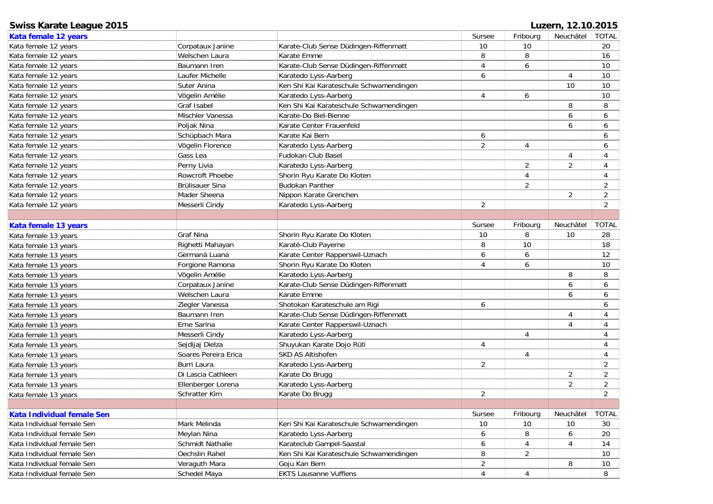| <b>Swiss Karate League 2015</b> |                      |                                         | Luzern, 12.10.2015 |                |                |                |  |  |
|---------------------------------|----------------------|-----------------------------------------|--------------------|----------------|----------------|----------------|--|--|
| Kata female 12 years            |                      |                                         | Sursee             | Fribourg       | Neuchâtel      | <b>TOTAL</b>   |  |  |
| Kata female 12 years            | Corpataux Janine     | Karate-Club Sense Düdingen-Riffenmatt   | $10\,$             | 10             |                | 20             |  |  |
| Kata female 12 years            | Welschen Laura       | Karate Emme                             | 8                  | 8              |                | 16             |  |  |
| Kata female 12 years            | Baumann Iren         | Karate-Club Sense Düdingen-Riffenmatt   | 4                  | 6              |                | 10             |  |  |
| Kata female 12 years            | Laufer Michelle      | Karatedo Lyss-Aarberg                   | 6                  |                | $\overline{4}$ | 10             |  |  |
| Kata female 12 years            | Suter Anina          | Ken Shi Kai Karateschule Schwamendingen |                    |                | 10             | 10             |  |  |
| Kata female 12 years            | Vögelin Amélie       | Karatedo Lyss-Aarberg                   | 4                  | 6              |                | 10             |  |  |
| Kata female 12 years            | <b>Graf Isabel</b>   | Ken Shi Kai Karateschule Schwamendingen |                    |                | 8              | 8              |  |  |
| Kata female 12 years            | Mischler Vanessa     | Karate-Do Biel-Bienne                   |                    |                | 6              | 6              |  |  |
| Kata female 12 years            | Poljak Nina          | Karate Center Frauenfeld                |                    |                | 6              | 6              |  |  |
| Kata female 12 years            | Schüpbach Mara       | Karate Kai Bern                         | 6                  |                |                | 6              |  |  |
| Kata female 12 years            | Vögelin Florence     | Karatedo Lyss-Aarberg                   | $\overline{2}$     | 4              |                | 6              |  |  |
| Kata female 12 years            | Gass Lea             | Fudokan Club Basel                      |                    |                | $\overline{4}$ | 4              |  |  |
| Kata female 12 years            | Perny Livia          | Karatedo Lyss-Aarberg                   |                    | 2              | 2              | 4              |  |  |
| Kata female 12 years            | Rowcroft Phoebe      | Shorin Ryu Karate Do Kloten             |                    | 4              |                | 4              |  |  |
| Kata female 12 years            | Brülisauer Sina      | <b>Budokan Panther</b>                  |                    | $\overline{2}$ |                | $\overline{2}$ |  |  |
| Kata female 12 years            | Mader Sheena         | Nippon Karate Grenchen                  |                    |                | 2              | $\overline{a}$ |  |  |
| Kata female 12 years            | Messerli Cindy       | Karatedo Lyss-Aarberg                   | $\overline{2}$     |                |                | $\overline{2}$ |  |  |
|                                 |                      |                                         |                    |                |                |                |  |  |
| Kata female 13 years            |                      |                                         | Sursee             | Fribourg       | Neuchâtel      | <b>TOTAL</b>   |  |  |
| Kata female 13 years            | Graf Nina            | Shorin Ryu Karate Do Kloten             | 10                 | 8              | 10             | 28             |  |  |
| Kata female 13 years            | Righetti Mahayan     | Karaté-Club Payerne                     | 8                  | 10             |                | 18             |  |  |
| Kata female 13 years            | Germanà Luana        | Karate Center Rapperswil-Uznach         | 6                  | 6              |                | 12             |  |  |
| Kata female 13 years            | Forgione Ramona      | Shorin Ryu Karate Do Kloten             | 4                  | 6              |                | 10             |  |  |
| Kata female 13 years            | Vögelin Amélie       | Karatedo Lyss-Aarberg                   |                    |                | 8              | 8              |  |  |
| Kata female 13 years            | Corpataux Janine     | Karate-Club Sense Düdingen-Riffenmatt   |                    |                | 6              | 6              |  |  |
| Kata female 13 years            | Welschen Laura       | Karate Emme                             |                    |                | 6              | 6              |  |  |
| Kata female 13 years            | Ziegler Vanessa      | Shotokan Karateschule am Rigi           | 6                  |                |                | 6              |  |  |
| Kata female 13 years            | Baumann Iren         | Karate-Club Sense Düdingen-Riffenmatt   |                    |                | $\overline{4}$ | 4              |  |  |
| Kata female 13 years            | Erne Sarina          | Karate Center Rapperswil-Uznach         |                    |                | $\overline{4}$ | 4              |  |  |
| Kata female 13 years            | Messerli Cindy       | Karatedo Lyss-Aarberg                   |                    | $\overline{4}$ |                | 4              |  |  |
| Kata female 13 years            | Sejdijaj Dielza      | Shuyukan Karate Dojo Rüti               | 4                  |                |                | 4              |  |  |
| Kata female 13 years            | Soares Pereira Erica | SKD AS Altishofen                       |                    | 4              |                | 4              |  |  |
| Kata female 13 years            | <b>Burri Laura</b>   | Karatedo Lyss-Aarberg                   | $\overline{2}$     |                |                | $\sqrt{2}$     |  |  |
| Kata female 13 years            | Di Lascia Cathleen   | Karate Do Brugg                         |                    |                | $\overline{2}$ | $\overline{2}$ |  |  |
| Kata female 13 years            | Ellenberger Lorena   | Karatedo Lyss-Aarberg                   |                    |                | 2              | $\overline{c}$ |  |  |
| Kata female 13 years            | Schratter Kim        | Karate Do Brugg                         | $\overline{2}$     |                |                | $\overline{2}$ |  |  |
|                                 |                      |                                         |                    |                |                |                |  |  |
| Kata Individual female Sen      |                      |                                         | Sursee             | Fribourg       | Neuchâtel      | <b>TOTAL</b>   |  |  |
| Kata Individual female Sen      | Mark Melinda         | Ken Shi Kai Karateschule Schwamendingen | $10$               | 10             | 10             | 30             |  |  |
| Kata Individual female Sen      | Meylan Nina          | Karatedo Lyss-Aarberg                   | 6                  | 8              | 6              | 20             |  |  |
| Kata Individual female Sen      | Schmidt Nathalie     | Karateclub Gampel-Saastal               | 6                  | 4              | 4              | 14             |  |  |
| Kata Individual female Sen      | Oechslin Rahel       | Ken Shi Kai Karateschule Schwamendingen | 8                  | 2              |                | 10             |  |  |
| Kata Individual female Sen      | Veraguth Mara        | Goju Kan Bern                           | $\overline{2}$     |                | 8              | 10             |  |  |
| Kata Individual female Sen      | Schedel Maya         | <b>EKTS Lausanne Vufflens</b>           | $\overline{4}$     | 4              |                | 8              |  |  |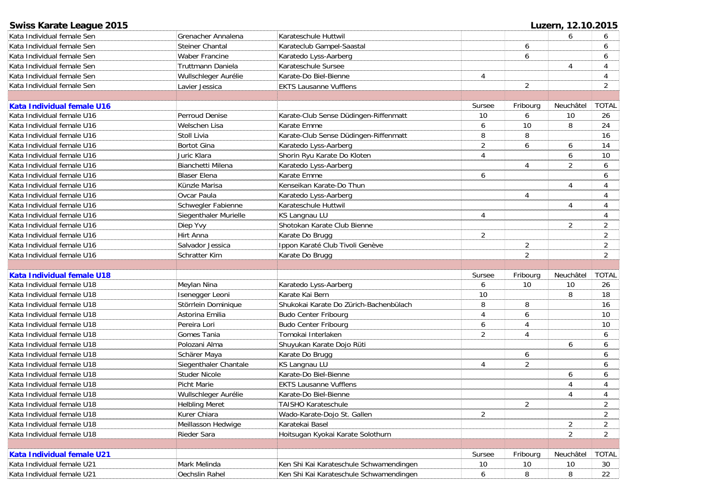| <b>Swiss Karate League 2015</b> |                       |                                         |                |                | Luzern, 12.10.2015 |                |
|---------------------------------|-----------------------|-----------------------------------------|----------------|----------------|--------------------|----------------|
| Kata Individual female Sen      | Grenacher Annalena    | Karateschule Huttwil                    |                |                | 6                  | 6              |
| Kata Individual female Sen      | Steiner Chantal       | Karateclub Gampel-Saastal               |                | 6              |                    | 6              |
| Kata Individual female Sen      | <b>Waber Francine</b> | Karatedo Lyss-Aarberg                   |                | 6              |                    | 6              |
| Kata Individual female Sen      | Truttmann Daniela     | Karateschule Sursee                     |                |                | 4                  | 4              |
| Kata Individual female Sen      | Wullschleger Aurélie  | Karate-Do Biel-Bienne                   | 4              |                |                    | 4              |
| Kata Individual female Sen      | Lavier Jessica        | <b>EKTS Lausanne Vufflens</b>           |                | $\overline{2}$ |                    | $\overline{2}$ |
|                                 |                       |                                         |                |                |                    |                |
| Kata Individual female U16      |                       |                                         | Sursee         | Fribourg       | Neuchâtel          | <b>TOTAL</b>   |
| Kata Individual female U16      | Perroud Denise        | Karate-Club Sense Düdingen-Riffenmatt   | 10             | 6              | 10                 | 26             |
| Kata Individual female U16      | Welschen Lisa         | Karate Emme                             | 6              | 10             | 8                  | 24             |
| Kata Individual female U16      | Stoll Livia           | Karate-Club Sense Düdingen-Riffenmatt   | 8              | 8              |                    | 16             |
| Kata Individual female U16      | <b>Bortot Gina</b>    | Karatedo Lyss-Aarberg                   | $\overline{2}$ | 6              | 6                  | 14             |
| Kata Individual female U16      | Juric Klara           | Shorin Ryu Karate Do Kloten             | 4              |                | 6                  | 10             |
| Kata Individual female U16      | Bianchetti Milena     | Karatedo Lyss-Aarberg                   |                | 4              | 2                  | 6              |
| Kata Individual female U16      | <b>Blaser Elena</b>   | Karate Emme                             | 6              |                |                    | 6              |
| Kata Individual female U16      | Künzle Marisa         | Kenseikan Karate-Do Thun                |                |                | $\overline{4}$     | 4              |
| Kata Individual female U16      | Ovcar Paula           | Karatedo Lyss-Aarberg                   |                | 4              |                    | 4              |
| Kata Individual female U16      | Schwegler Fabienne    | Karateschule Huttwil                    |                |                | $\overline{4}$     | 4              |
| Kata Individual female U16      | Siegenthaler Murielle | KS Langnau LU                           | 4              |                |                    | 4              |
| Kata Individual female U16      | Diep Yvy              | Shotokan Karate Club Bienne             |                |                | $\overline{2}$     | 2              |
| Kata Individual female U16      | Hirt Anna             | Karate Do Brugg                         | $\overline{2}$ |                |                    | 2              |
| Kata Individual female U16      | Salvador Jessica      | Ippon Karaté Club Tivoli Genève         |                | $\overline{a}$ |                    | $\overline{2}$ |
| Kata Individual female U16      | Schratter Kim         | Karate Do Brugg                         |                | $\overline{2}$ |                    | $\overline{2}$ |
|                                 |                       |                                         |                |                |                    |                |
| Kata Individual female U18      |                       |                                         | Sursee         | Fribourg       | Neuchâtel          | <b>TOTAL</b>   |
| Kata Individual female U18      | Meylan Nina           | Karatedo Lyss-Aarberg                   | 6              | 10             | 10                 | 26             |
| Kata Individual female U18      | Isenegger Leoni       | Karate Kai Bern                         | 10             |                | 8                  | 18             |
| Kata Individual female U18      | Störrlein Dominique   | Shukokai Karate Do Zürich-Bachenbülach  | 8              | 8              |                    | 16             |
| Kata Individual female U18      | Astorina Emilia       | <b>Budo Center Fribourg</b>             | 4              | 6              |                    | 10             |
| Kata Individual female U18      | Pereira Lori          | <b>Budo Center Fribourg</b>             | 6              | 4              |                    | 10             |
| Kata Individual female U18      | Gomes Tania           | Tomokai Interlaken                      | $\overline{2}$ | 4              |                    | 6              |
| Kata Individual female U18      | Polozani Alma         | Shuyukan Karate Dojo Rüti               |                |                | 6                  | 6              |
| Kata Individual female U18      | Schärer Maya          | Karate Do Brugg                         |                | 6              |                    | 6              |
| Kata Individual female U18      | Siegenthaler Chantale | KS Langnau LU                           | 4              | $\overline{2}$ |                    | 6              |
| Kata Individual female U18      | Studer Nicole         | Karate-Do Biel-Bienne                   |                |                | 6                  | 6              |
| Kata Individual female U18      | <b>Picht Marie</b>    | <b>EKTS Lausanne Vufflens</b>           |                |                | $\overline{4}$     | 4              |
| Kata Individual female U18      | Wullschleger Aurélie  | Karate-Do Biel-Bienne                   |                |                | 4                  | 4              |
| Kata Individual female U18      | <b>Helbling Meret</b> | TAISHO Karateschule                     |                | 2              |                    | 2              |
| Kata Individual female U18      | Kurer Chiara          | Wado-Karate-Dojo St. Gallen             | $\overline{c}$ |                |                    | $\overline{2}$ |
| Kata Individual female U18      | Meillasson Hedwige    | Karatekai Basel                         |                |                | 2                  | $\overline{2}$ |
| Kata Individual female U18      | Rieder Sara           | Hoitsugan Kyokai Karate Solothurn       |                |                | 2                  | $\overline{2}$ |
|                                 |                       |                                         |                |                |                    |                |
| Kata Individual female U21      |                       |                                         | Sursee         | Fribourg       | Neuchâtel          | <b>TOTAL</b>   |
| Kata Individual female U21      | Mark Melinda          | Ken Shi Kai Karateschule Schwamendingen | 10             | 10             | 10                 | 30             |
| Kata Individual female U21      | Oechslin Rahel        | Ken Shi Kai Karateschule Schwamendingen | 6              | 8              | 8                  | 22             |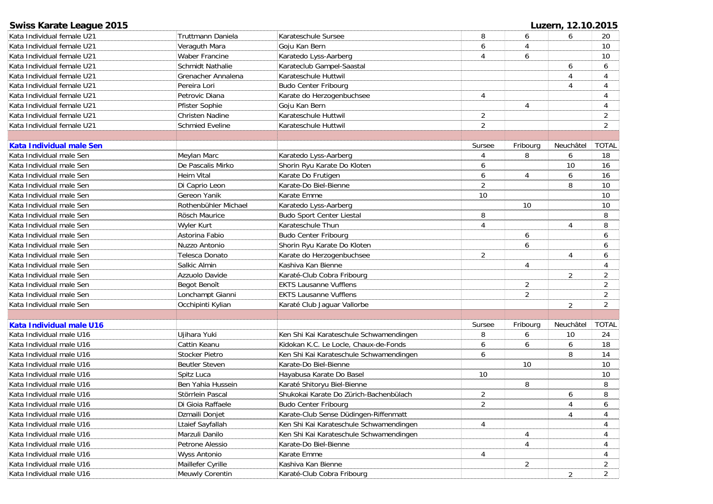| <b>Swiss Karate League 2015</b> |                        |                                         |                |                | Luzern, 12.10.2015 |                |
|---------------------------------|------------------------|-----------------------------------------|----------------|----------------|--------------------|----------------|
| Kata Individual female U21      | Truttmann Daniela      | Karateschule Sursee                     | 8              | 6              | 6                  | 20             |
| Kata Individual female U21      | Veraguth Mara          | Goju Kan Bern                           | 6              | 4              |                    | 10             |
| Kata Individual female U21      | <b>Waber Francine</b>  | Karatedo Lyss-Aarberg                   | 4              | 6              |                    | 10             |
| Kata Individual female U21      | Schmidt Nathalie       | Karateclub Gampel-Saastal               |                |                | 6                  | 6              |
| Kata Individual female U21      | Grenacher Annalena     | Karateschule Huttwil                    |                |                | 4                  | 4              |
| Kata Individual female U21      | Pereira Lori           | <b>Budo Center Fribourg</b>             |                |                | 4                  | 4              |
| Kata Individual female U21      | Petrovic Diana         | Karate do Herzogenbuchsee               | 4              |                |                    | $\overline{4}$ |
| Kata Individual female U21      | Pfister Sophie         | Goju Kan Bern                           |                | 4              |                    | 4              |
| Kata Individual female U21      | <b>Christen Nadine</b> | Karateschule Huttwil                    | $\overline{c}$ |                |                    | $\overline{2}$ |
| Kata Individual female U21      | Schmied Eveline        | Karateschule Huttwil                    | $\overline{2}$ |                |                    | $\overline{2}$ |
|                                 |                        |                                         |                |                |                    |                |
| Kata Individual male Sen        |                        |                                         | Sursee         | Fribourg       | Neuchâtel          | <b>TOTAL</b>   |
| Kata Individual male Sen        | Meylan Marc            | Karatedo Lyss-Aarberg                   | 4              | 8              | 6                  | 18             |
| Kata Individual male Sen        | De Pascalis Mirko      | Shorin Ryu Karate Do Kloten             | 6              |                | 10                 | 16             |
| Kata Individual male Sen        | Heim Vital             | Karate Do Frutigen                      | 6              | 4              | 6                  | 16             |
| Kata Individual male Sen        | Di Caprio Leon         | Karate-Do Biel-Bienne                   | $\overline{2}$ |                | 8                  | 10             |
| Kata Individual male Sen        | Gereon Yanik           | Karate Emme                             | 10             |                |                    | 10             |
| Kata Individual male Sen        | Rothenbühler Michael   | Karatedo Lyss-Aarberg                   |                | 10             |                    | 10             |
| Kata Individual male Sen        | Rösch Maurice          | <b>Budo Sport Center Liestal</b>        | 8              |                |                    | 8              |
| Kata Individual male Sen        | <b>Wyler Kurt</b>      | Karateschule Thun                       | $\overline{4}$ |                | $\overline{4}$     | 8              |
| Kata Individual male Sen        | Astorina Fabio         | <b>Budo Center Fribourg</b>             |                | 6              |                    | 6              |
| Kata Individual male Sen        | Nuzzo Antonio          | Shorin Ryu Karate Do Kloten             |                | 6              |                    | 6              |
| Kata Individual male Sen        | Telesca Donato         | Karate do Herzogenbuchsee               | $\overline{2}$ |                | $\overline{4}$     | 6              |
| Kata Individual male Sen        | Salkic Almin           | Kashiva Kan Bienne                      |                | 4              |                    | 4              |
| Kata Individual male Sen        | Azzuolo Davide         | Karaté-Club Cobra Fribourg              |                |                | 2                  | $\overline{2}$ |
| Kata Individual male Sen        | Begot Benoît           | <b>EKTS Lausanne Vufflens</b>           |                | $\overline{2}$ |                    | $\overline{2}$ |
| Kata Individual male Sen        | Lonchampt Gianni       | <b>EKTS Lausanne Vufflens</b>           |                | $\overline{2}$ |                    | $\overline{2}$ |
| Kata Individual male Sen        | Occhipinti Kylian      | Karaté Club Jaguar Vallorbe             |                |                | $\overline{2}$     | 2              |
|                                 |                        |                                         |                |                |                    |                |
| Kata Individual male U16        |                        |                                         | Sursee         | Fribourg       | Neuchâtel          | <b>TOTAL</b>   |
| Kata Individual male U16        | Ujihara Yuki           | Ken Shi Kai Karateschule Schwamendingen | 8              | 6              | 10                 | 24             |
| Kata Individual male U16        | Cattin Keanu           | Kidokan K.C. Le Locle, Chaux-de-Fonds   | 6              | 6              | 6                  | 18             |
| Kata Individual male U16        | <b>Stocker Pietro</b>  | Ken Shi Kai Karateschule Schwamendingen | 6              |                | 8                  | 14             |
| Kata Individual male U16        | <b>Beutler Steven</b>  | Karate-Do Biel-Bienne                   |                | 10             |                    | 10             |
| Kata Individual male U16        | Spitz Luca             | Hayabusa Karate Do Basel                | 10             |                |                    | 10             |
| Kata Individual male U16        | Ben Yahia Hussein      | Karaté Shitoryu Biel-Bienne             |                | 8              |                    | 8              |
| Kata Individual male U16        | Störrlein Pascal       | Shukokai Karate Do Zürich-Bachenbülach  | 2              |                | 6                  | 8              |
| Kata Individual male U16        | Di Gioia Raffaele      | <b>Budo Center Fribourg</b>             | 2              |                | 4                  | 6              |
| Kata Individual male U16        | Dzmaili Donjet         | Karate-Club Sense Düdingen-Riffenmatt   |                |                | Δ                  | 4              |
| Kata Individual male U16        | Ltaief Sayfallah       | Ken Shi Kai Karateschule Schwamendingen | 4              |                |                    | 4              |
| Kata Individual male U16        | Marzuli Danilo         | Ken Shi Kai Karateschule Schwamendingen |                | 4              |                    | 4              |
| Kata Individual male U16        | Petrone Alessio        | Karate-Do Biel-Bienne                   |                | 4              |                    | 4              |
| Kata Individual male U16        | <b>Wyss Antonio</b>    | Karate Emme                             | 4              |                |                    | 4              |
| Kata Individual male U16        | Maillefer Cyrille      | Kashiva Kan Bienne                      |                | $\overline{c}$ |                    | $\overline{2}$ |
| Kata Individual male U16        | Meuwly Corentin        | Karaté-Club Cobra Fribourg              |                |                |                    | $\overline{2}$ |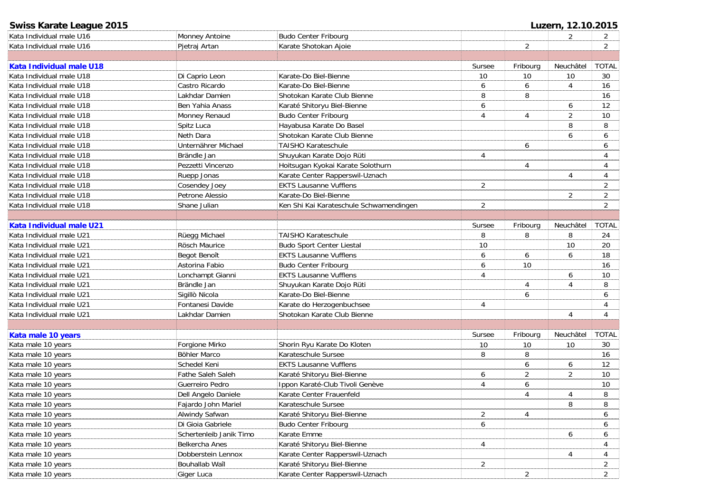| <b>Swiss Karate League 2015</b> |                         |                                         |                  |                  | Luzern, 12.10.2015 |                |
|---------------------------------|-------------------------|-----------------------------------------|------------------|------------------|--------------------|----------------|
| Kata Individual male U16        | Monney Antoine          | <b>Budo Center Fribourg</b>             |                  |                  | $\overline{2}$     | 2              |
| Kata Individual male U16        | Pjetraj Artan           | Karate Shotokan Ajoie                   |                  | 2                |                    | 2              |
|                                 |                         |                                         |                  |                  |                    |                |
| Kata Individual male U18        |                         |                                         | Sursee           | Fribourg         | Neuchâtel          | <b>TOTAL</b>   |
| Kata Individual male U18        | Di Caprio Leon          | Karate-Do Biel-Bienne                   | 10               | 10               | 10                 | 30             |
| Kata Individual male U18        | Castro Ricardo          | Karate-Do Biel-Bienne                   | 6                | 6                | $\overline{4}$     | 16             |
| Kata Individual male U18        | Lakhdar Damien          | Shotokan Karate Club Bienne             | 8                | 8                |                    | 16             |
| Kata Individual male U18        | Ben Yahia Anass         | Karaté Shitoryu Biel-Bienne             | 6                |                  | 6                  | 12             |
| Kata Individual male U18        | Monney Renaud           | <b>Budo Center Fribourg</b>             | 4                | 4                | $\overline{2}$     | 10             |
| Kata Individual male U18        | Spitz Luca              | Hayabusa Karate Do Basel                |                  |                  | 8                  | 8              |
| Kata Individual male U18        | Neth Dara               | Shotokan Karate Club Bienne             |                  |                  | 6                  | 6              |
| Kata Individual male U18        | Unternährer Michael     | TAISHO Karateschule                     |                  | 6                |                    | 6              |
| Kata Individual male U18        | Brändle Jan             | Shuyukan Karate Dojo Rüti               | 4                |                  |                    | 4              |
| Kata Individual male U18        | Pezzetti Vincenzo       | Hoitsugan Kyokai Karate Solothurn       |                  | $\overline{4}$   |                    | $\overline{4}$ |
| Kata Individual male U18        | Ruepp Jonas             | Karate Center Rapperswil-Uznach         |                  |                  | 4                  | 4              |
| Kata Individual male U18        | Cosendey Joey           | <b>EKTS Lausanne Vufflens</b>           | 2                |                  |                    | 2              |
| Kata Individual male U18        | Petrone Alessio         | Karate-Do Biel-Bienne                   |                  |                  | 2                  | $\overline{2}$ |
| Kata Individual male U18        | Shane Julian            | Ken Shi Kai Karateschule Schwamendingen | 2                |                  |                    | 2              |
|                                 |                         |                                         |                  |                  |                    |                |
| Kata Individual male U21        |                         |                                         | Sursee           | Fribourg         | Neuchâtel          | <b>TOTAL</b>   |
| Kata Individual male U21        | Rüegg Michael           | <b>TAISHO Karateschule</b>              | 8                | 8                | 8                  | 24             |
| Kata Individual male U21        | Rösch Maurice           | <b>Budo Sport Center Liestal</b>        | 10               |                  | 10                 | 20             |
| Kata Individual male U21        | Begot Benoît            | <b>EKTS Lausanne Vufflens</b>           | 6                | 6                | 6                  | 18             |
| Kata Individual male U21        | Astorina Fabio          | <b>Budo Center Fribourg</b>             | 6                | 10               |                    | 16             |
| Kata Individual male U21        | Lonchampt Gianni        | <b>EKTS Lausanne Vufflens</b>           | 4                |                  | 6                  | 10             |
| Kata Individual male U21        | Brändle Jan             | Shuyukan Karate Dojo Rüti               |                  | 4                | $\overline{4}$     | 8              |
| Kata Individual male U21        | Sigillò Nicola          | Karate-Do Biel-Bienne                   |                  | 6                |                    | 6              |
| Kata Individual male U21        | Fontanesi Davide        | Karate do Herzogenbuchsee               | 4                |                  |                    | 4              |
| Kata Individual male U21        | Lakhdar Damien          | Shotokan Karate Club Bienne             |                  |                  | $\overline{4}$     | $\overline{4}$ |
|                                 |                         |                                         |                  |                  |                    |                |
| Kata male 10 years              |                         |                                         | Sursee           | Fribourg         | Neuchâtel          | <b>TOTAL</b>   |
| Kata male 10 years              | Forgione Mirko          | Shorin Ryu Karate Do Kloten             | 10               | 10               | 10                 | 30             |
| Kata male 10 years              | Böhler Marco            | Karateschule Sursee                     | 8                | 8                |                    | 16             |
| Kata male 10 years              | Schedel Keni            | <b>EKTS Lausanne Vufflens</b>           |                  | 6                | 6                  | 12             |
| Kata male 10 years              | Fathe Saleh Saleh       | Karaté Shitoryu Biel-Bienne             | 6                | $\overline{2}$   | 2                  | 10             |
| Kata male 10 years              | Guerreiro Pedro         | Ippon Karaté-Club Tivoli Genève         | 4                | $\boldsymbol{6}$ |                    | 10             |
| Kata male 10 years              | Dell Angelo Daniele     | Karate Center Frauenfeld                |                  | $\overline{4}$   | 4                  | 8              |
| Kata male 10 years              | Fajardo John Mariel     | Karateschule Sursee                     |                  |                  | 8                  | 8              |
| Kata male 10 years              | Alwindy Safwan          | Karaté Shitoryu Biel-Bienne             | $\overline{2}$   | 4                |                    | 6              |
| Kata male 10 years              | Di Gioia Gabriele       | <b>Budo Center Fribourg</b>             | $\boldsymbol{6}$ |                  |                    | 6              |
| Kata male 10 years              | Schertenleib Janik Timo | Karate Emme                             |                  |                  | 6                  | 6              |
| Kata male 10 years              | Belkercha Anes          | Karaté Shitoryu Biel-Bienne             | $\overline{4}$   |                  |                    | 4              |
| Kata male 10 years              | Dobberstein Lennox      | Karate Center Rapperswil-Uznach         |                  |                  | 4                  | 4              |
| Kata male 10 years              | Bouhallab Waîl          | Karaté Shitoryu Biel-Bienne             | $\overline{2}$   |                  |                    | $\overline{2}$ |
| Kata male 10 years              | Giger Luca              | Karate Center Rapperswil-Uznach         |                  | $\overline{2}$   |                    | $\overline{2}$ |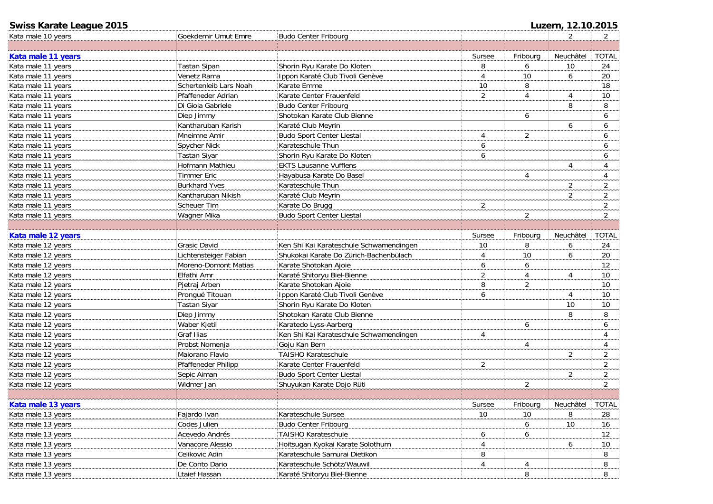| <b>Swiss Karate League 2015</b> |                        |                                         | Luzern, 12.10.2015 |                |                |                |  |
|---------------------------------|------------------------|-----------------------------------------|--------------------|----------------|----------------|----------------|--|
| Kata male 10 years              | Goekdemir Umut Emre    | <b>Budo Center Fribourg</b>             |                    |                | 2              | $\mathbf{2}$   |  |
|                                 |                        |                                         |                    |                |                |                |  |
| Kata male 11 years              |                        |                                         | Sursee             | Fribourg       | Neuchâtel      | <b>TOTAL</b>   |  |
| Kata male 11 years              | Tastan Sipan           | Shorin Ryu Karate Do Kloten             | 8                  | 6              | 10             | 24             |  |
| Kata male 11 years              | Venetz Rama            | Ippon Karaté Club Tivoli Genève         | 4                  | 10             | 6              | 20             |  |
| Kata male 11 years              | Schertenleib Lars Noah | Karate Emme                             | $10$               | 8              |                | 18             |  |
| Kata male 11 years              | Pfaffeneder Adrian     | Karate Center Frauenfeld                | $\overline{2}$     | $\overline{4}$ | $\overline{4}$ | 10             |  |
| Kata male 11 years              | Di Gioia Gabriele      | <b>Budo Center Fribourg</b>             |                    |                | 8              | 8              |  |
| Kata male 11 years              | Diep Jimmy             | Shotokan Karate Club Bienne             |                    | 6              |                | 6              |  |
| Kata male 11 years              | Kantharuban Karish     | Karaté Club Meyrin                      |                    |                | 6              | 6              |  |
| Kata male 11 years              | Mneimne Amir           | <b>Budo Sport Center Liestal</b>        | 4                  | 2              |                | 6              |  |
| Kata male 11 years              | Spycher Nick           | Karateschule Thun                       | 6                  |                |                | 6              |  |
| Kata male 11 years              | <b>Tastan Siyar</b>    | Shorin Ryu Karate Do Kloten             | 6                  |                |                | 6              |  |
| Kata male 11 years              | Hofmann Mathieu        | <b>EKTS Lausanne Vufflens</b>           |                    |                | $\overline{4}$ | $\overline{4}$ |  |
| Kata male 11 years              | <b>Timmer Eric</b>     | Hayabusa Karate Do Basel                |                    | 4              |                | $\overline{4}$ |  |
| Kata male 11 years              | <b>Burkhard Yves</b>   | Karateschule Thun                       |                    |                | $\overline{2}$ | $\overline{2}$ |  |
| Kata male 11 years              | Kantharuban Nikish     | Karaté Club Meyrin                      |                    |                | $\overline{2}$ | $\overline{2}$ |  |
| Kata male 11 years              | Scheuer Tim            | Karate Do Brugg                         | $\overline{2}$     |                |                | $\overline{2}$ |  |
| Kata male 11 years              | Wagner Mika            | Budo Sport Center Liestal               |                    | 2              |                | $\overline{2}$ |  |
|                                 |                        |                                         |                    |                |                |                |  |
| Kata male 12 years              |                        |                                         | Sursee             | Fribourg       | Neuchâtel      | <b>TOTAL</b>   |  |
| Kata male 12 years              | Grasic David           | Ken Shi Kai Karateschule Schwamendingen | 10                 | 8              | 6              | 24             |  |
| Kata male 12 years              | Lichtensteiger Fabian  | Shukokai Karate Do Zürich-Bachenbülach  | 4                  | 10             | 6              | 20             |  |
| Kata male 12 years              | Moreno-Domont Matias   | Karate Shotokan Ajoie                   | 6                  | 6              |                | 12             |  |
| Kata male 12 years              | Elfathi Amr            | Karaté Shitoryu Biel-Bienne             | $\overline{2}$     | 4              | 4              | 10             |  |
| Kata male 12 years              | Pjetraj Arben          | Karate Shotokan Ajoie                   | 8                  | $\overline{2}$ |                | 10             |  |
| Kata male 12 years              | Prongué Titouan        | Ippon Karaté Club Tivoli Genève         | 6                  |                | 4              | 10             |  |
| Kata male 12 years              | Tastan Siyar           | Shorin Ryu Karate Do Kloten             |                    |                | 10             | 10             |  |
| Kata male 12 years              | Diep Jimmy             | Shotokan Karate Club Bienne             |                    |                | 8              | 8              |  |
| Kata male 12 years              | Waber Kjetil           | Karatedo Lyss-Aarberg                   |                    | 6              |                | 6              |  |
| Kata male 12 years              | Graf Ilias             | Ken Shi Kai Karateschule Schwamendingen | 4                  |                |                | 4              |  |
| Kata male 12 years              | Probst Nomenja         | Goju Kan Bern                           |                    | 4              |                | 4              |  |
| Kata male 12 years              | Maiorano Flavio        | <b>TAISHO Karateschule</b>              |                    |                | $\overline{2}$ | 2              |  |
| Kata male 12 years              | Pfaffeneder Philipp    | Karate Center Frauenfeld                | $\overline{2}$     |                |                | $\overline{2}$ |  |
| Kata male 12 years              | Sepic Aiman            | Budo Sport Center Liestal               |                    |                | $\overline{2}$ | $\overline{2}$ |  |
| Kata male 12 years              | Widmer Jan             | Shuyukan Karate Dojo Rüti               |                    | $\overline{2}$ |                | 2              |  |
|                                 |                        |                                         |                    |                |                |                |  |
| Kata male 13 years              |                        |                                         | Sursee             | Fribourg       | Neuchâtel      | TOTAL          |  |
| Kata male 13 years              | Fajardo Ivan           | Karateschule Sursee                     | 10 <sup>°</sup>    | 10             | 8              | 28             |  |
| Kata male 13 years              | Codes Julien           | <b>Budo Center Fribourg</b>             |                    | 6              | 10             | 16             |  |
| Kata male 13 years              | Acevedo Andrés         | TAISHO Karateschule                     | 6                  | 6              |                | 12             |  |
| Kata male 13 years              | Vanacore Alessio       | Hoitsugan Kyokai Karate Solothurn       | 4                  |                | 6              | 10             |  |
| Kata male 13 years              | Celikovic Adin         | Karateschule Samurai Dietikon           | 8                  |                |                | 8              |  |
| Kata male 13 years              | De Conto Dario         | Karateschule Schötz/Wauwil              | 4                  | 4              |                | 8              |  |
| Kata male 13 years              | Ltaief Hassan          | Karaté Shitoryu Biel-Bienne             |                    | 8              |                | 8              |  |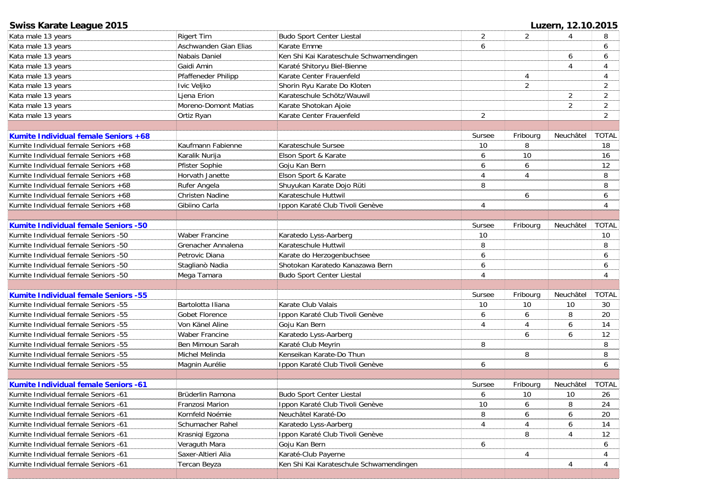| Swiss Karate League 2015                    |                        |                                         |                |                | Luzern, 12.10.2015 |                |
|---------------------------------------------|------------------------|-----------------------------------------|----------------|----------------|--------------------|----------------|
| Kata male 13 years                          | <b>Rigert Tim</b>      | <b>Budo Sport Center Liestal</b>        | $\overline{2}$ | 2              | 4                  | 8              |
| Kata male 13 years                          | Aschwanden Gian Elias  | Karate Emme                             | 6              |                |                    | 6              |
| Kata male 13 years                          | Nabais Daniel          | Ken Shi Kai Karateschule Schwamendingen |                |                | 6                  | 6              |
| Kata male 13 years                          | Gaidi Amin             | Karaté Shitoryu Biel-Bienne             |                |                | 4                  | $\overline{4}$ |
| Kata male 13 years                          | Pfaffeneder Philipp    | Karate Center Frauenfeld                |                | 4              |                    | 4              |
| Kata male 13 years                          | Ivic Veljko            | Shorin Ryu Karate Do Kloten             |                | $\overline{2}$ |                    | $\overline{2}$ |
| Kata male 13 years                          | Ljena Erion            | Karateschule Schötz/Wauwil              |                |                | 2                  | $\overline{2}$ |
| Kata male 13 years                          | Moreno-Domont Matias   | Karate Shotokan Ajoie                   |                |                | 2                  | 2              |
| Kata male 13 years                          | Ortiz Ryan             | Karate Center Frauenfeld                | 2              |                |                    | $\overline{2}$ |
|                                             |                        |                                         |                |                |                    |                |
| Kumite Individual female Seniors +68        |                        |                                         | Sursee         | Fribourg       | Neuchâtel          | <b>TOTAL</b>   |
| Kumite Individual female Seniors +68        | Kaufmann Fabienne      | Karateschule Sursee                     | 10             | 8              |                    | 18             |
| Kumite Individual female Seniors +68        | Karalik Nurija         | Elson Sport & Karate                    | 6              | 10             |                    | 16             |
| Kumite Individual female Seniors +68        | Pfister Sophie         | Goju Kan Bern                           | 6              | 6              |                    | 12             |
| Kumite Individual female Seniors +68        | Horvath Janette        | Elson Sport & Karate                    | 4              | 4              |                    | 8              |
| Kumite Individual female Seniors +68        | Rufer Angela           | Shuyukan Karate Dojo Rüti               | 8              |                |                    | 8              |
| Kumite Individual female Seniors +68        | <b>Christen Nadine</b> | Karateschule Huttwil                    |                | 6              |                    | 6              |
| Kumite Individual female Seniors +68        | Gibiino Carla          | Ippon Karaté Club Tivoli Genève         | 4              |                |                    | 4              |
|                                             |                        |                                         |                |                |                    |                |
| <b>Kumite Individual female Seniors -50</b> |                        |                                         | Sursee         | Fribourg       | Neuchâtel          | <b>TOTAL</b>   |
| Kumite Individual female Seniors -50        | <b>Waber Francine</b>  | Karatedo Lyss-Aarberg                   | 10             |                |                    | 10             |
| Kumite Individual female Seniors -50        | Grenacher Annalena     | Karateschule Huttwil                    | 8              |                |                    | 8              |
| Kumite Individual female Seniors -50        | Petrovic Diana         | Karate do Herzogenbuchsee               | 6              |                |                    | 6              |
| Kumite Individual female Seniors -50        | Staglianò Nadia        | Shotokan Karatedo Kanazawa Bern         | 6              |                |                    | 6              |
| Kumite Individual female Seniors -50        | Mega Tamara            | <b>Budo Sport Center Liestal</b>        | $\overline{4}$ |                |                    | 4              |
|                                             |                        |                                         |                |                |                    |                |
| <b>Kumite Individual female Seniors -55</b> |                        |                                         | Sursee         | Fribourg       | Neuchâtel          | <b>TOTAL</b>   |
| Kumite Individual female Seniors -55        | Bartolotta Iliana      | Karate Club Valais                      | $10$           | 10             | 10                 | 30             |
| Kumite Individual female Seniors -55        | Gobet Florence         | Ippon Karaté Club Tivoli Genève         | 6              | 6              | 8                  | 20             |
| Kumite Individual female Seniors -55        | Von Känel Aline        | Goju Kan Bern                           | 4              | 4              | 6                  | 14             |
| Kumite Individual female Seniors -55        | Waber Francine         | Karatedo Lyss-Aarberg                   |                | 6              | 6                  | 12             |
| Kumite Individual female Seniors -55        | Ben Mimoun Sarah       | Karaté Club Meyrin                      | 8              |                |                    | 8              |
| Kumite Individual female Seniors -55        | Michel Melinda         | Kenseikan Karate-Do Thun                |                | 8              |                    | 8              |
| Kumite Individual female Seniors -55        | Magnin Aurélie         | Ippon Karaté Club Tivoli Genève         | 6              |                |                    | 6              |
|                                             |                        |                                         |                |                |                    |                |
| Kumite Individual female Seniors -61        |                        |                                         | Sursee         | Fribourg       | Neuchâtel          | <b>TOTAL</b>   |
| Kumite Individual female Seniors -61        | Brüderlin Ramona       | <b>Budo Sport Center Liestal</b>        | 6              | 10             | 10                 | 26             |
| Kumite Individual female Seniors -61        | Franzosi Marion        | Ippon Karaté Club Tivoli Genève         | 10             | 6              | 8                  | 24             |
| Kumite Individual female Seniors -61        | Kornfeld Noémie        | Neuchâtel Karaté-Do                     | 8              | 6              | 6                  | 20             |
| Kumite Individual female Seniors -61        | Schumacher Rahel       | Karatedo Lyss-Aarberg                   | 4              |                | 6                  | 14             |
| Kumite Individual female Seniors -61        | Krasniqi Egzona        | Ippon Karaté Club Tivoli Genève         |                | 8              | 4                  | 12             |
| Kumite Individual female Seniors -61        | Veraguth Mara          | Goju Kan Bern                           | 6              |                |                    | 6              |
| Kumite Individual female Seniors -61        | Saxer-Altieri Alia     | Karaté-Club Payerne                     |                | 4              |                    | 4              |
| Kumite Individual female Seniors -61        | Tercan Beyza           | Ken Shi Kai Karateschule Schwamendingen |                |                | 4                  | $\overline{4}$ |
|                                             |                        |                                         |                |                |                    |                |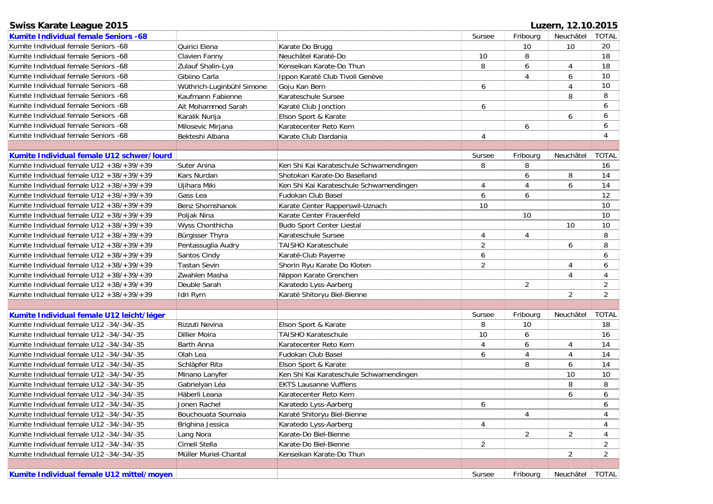# **Swiss Karate League 2015 Luzern, 12.10.2015**

| Kumite Individual female Seniors -68            |                           |                                         | Sursee         | Fribourg       | Neuchâtel      | <b>TOTAL</b>   |
|-------------------------------------------------|---------------------------|-----------------------------------------|----------------|----------------|----------------|----------------|
| Kumite Individual female Seniors -68            | Quirici Elena             | Karate Do Brugg                         |                | 10             | 10             | 20             |
| Kumite Individual female Seniors -68            | Clavien Fanny             | Neuchâtel Karaté-Do                     | 10             | 8              |                | 18             |
| Kumite Individual female Seniors -68            | Zulauf Shalin-Lya         | Kenseikan Karate-Do Thun                | 8              | 6              | 4              | 18             |
| Kumite Individual female Seniors -68            | Gibiino Carla             | Ippon Karaté Club Tivoli Genève         |                | 4              | 6              | 10             |
| Kumite Individual female Seniors -68            | Wüthrich-Luginbühl Simone | Goju Kan Bern                           | 6              |                | $\overline{4}$ | 10             |
| Kumite Individual female Seniors -68            | Kaufmann Fabienne         | Karateschule Sursee                     |                |                | 8              | 8              |
| Kumite Individual female Seniors -68            | Ait Mohammed Sarah        | Karaté Club Jonction                    | 6              |                |                | 6              |
| Kumite Individual female Seniors -68            | Karalik Nurija            | Elson Sport & Karate                    |                |                | 6              | 6              |
| Kumite Individual female Seniors -68            | Milosevic Mirjana         | Karatecenter Reto Kern                  |                | 6              |                | 6              |
| Kumite Individual female Seniors -68            | Bekteshi Albana           | Karate Club Dardania                    | $\overline{4}$ |                |                | 4              |
|                                                 |                           |                                         |                |                |                |                |
| Kumite Individual female U12 schwer/lourd       |                           |                                         | Sursee         | Fribourg       | Neuchâtel      | <b>TOTAL</b>   |
| Kumite Individual female U12 +38/+39/+39        | Suter Anina               | Ken Shi Kai Karateschule Schwamendingen | 8              | 8              |                | 16             |
| Kumite Individual female $U12 + 38/ + 39/ + 39$ | Kars Nurdan               | Shotokan Karate-Do Baselland            |                | 6              | 8              | 14             |
| Kumite Individual female $U12 + 38/ + 39/ + 39$ | Ujihara Miki              | Ken Shi Kai Karateschule Schwamendingen | 4              | 4              | 6              | 14             |
| Kumite Individual female $U12 + 38/ + 39/ + 39$ | Gass Lea                  | Fudokan Club Basel                      | 6              | 6              |                | 12             |
| Kumite Individual female $U12 + 38/ + 39/ + 39$ | Benz Shomshanok           | Karate Center Rapperswil-Uznach         | 10             |                |                | 10             |
| Kumite Individual female $U12 + 38/ + 39/ + 39$ | Poljak Nina               | Karate Center Frauenfeld                |                | 10             |                | 10             |
| Kumite Individual female $U12 + 38/ + 39/ + 39$ | Wyss Chonthicha           | <b>Budo Sport Center Liestal</b>        |                |                | 10             | 10             |
| Kumite Individual female $U12 + 38/ + 39/ + 39$ | Bürgisser Thyra           | Karateschule Sursee                     | 4              | 4              |                | 8              |
| Kumite Individual female $U12 + 38/ + 39/ + 39$ | Pentassuglia Audry        | <b>TAISHO Karateschule</b>              | $\overline{c}$ |                | 6              | 8              |
| Kumite Individual female $U12 + 38/ + 39/ + 39$ | Santos Cindy              | Karaté-Club Payerne                     | 6              |                |                | 6              |
| Kumite Individual female $U12 + 38/ + 39/ + 39$ | <b>Tastan Sevin</b>       | Shorin Ryu Karate Do Kloten             | $\overline{2}$ |                | 4              | 6              |
| Kumite Individual female $U12 + 38/ + 39/ + 39$ | Zwahlen Masha             | Nippon Karate Grenchen                  |                |                | $\overline{4}$ | 4              |
| Kumite Individual female $U12 + 38/ + 39/ + 39$ | Deuble Sarah              | Karatedo Lyss-Aarberg                   |                | 2              |                | 2              |
| Kumite Individual female $U12 + 38/ + 39/ + 39$ | Idri Rym                  | Karaté Shitoryu Biel-Bienne             |                |                | 2              | $\overline{2}$ |
|                                                 |                           |                                         |                |                |                |                |
| Kumite Individual female U12 leicht/léger       |                           |                                         | Sursee         | Fribourg       | Neuchâtel      | <b>TOTAL</b>   |
| Kumite Individual female U12 -34/-34/-35        | Rizzuti Nevina            | Elson Sport & Karate                    | 8              | 10             |                | 18             |
| Kumite Individual female U12 -34/-34/-35        | Dillier Moira             | <b>TAISHO Karateschule</b>              | 10             | 6              |                | 16             |
| Kumite Individual female U12 -34/-34/-35        | Barth Anna                | Karatecenter Reto Kern                  | 4              | 6              | 4              | 14             |
| Kumite Individual female U12 -34/-34/-35        | Olah Lea                  | Fudokan Club Basel                      | 6              | 4              | $\overline{4}$ | 14             |
| Kumite Individual female U12 -34/-34/-35        | Schläpfer Rita            | Elson Sport & Karate                    |                | 8              | 6              | 14             |
| Kumite Individual female U12 -34/-34/-35        | Minano Lanyfer            | Ken Shi Kai Karateschule Schwamendingen |                |                | 10             | 10             |
| Kumite Individual female U12 -34/-34/-35        | Gabrielyan Léa            | <b>EKTS Lausanne Vufflens</b>           |                |                | 8              | 8              |
| Kumite Individual female U12 -34/-34/-35        | Häberli Leana             | Karatecenter Reto Kern                  |                |                | 6              | 6              |
| Kumite Individual female U12 -34/-34/-35        | Jonen Rachel              | Karatedo Lyss-Aarberg                   | 6              |                |                | 6              |
| Kumite Individual female U12 -34/-34/-35        | Bouchouata Soumaia        | Karaté Shitoryu Biel-Bienne             |                | 4              |                | 4              |
| Kumite Individual female U12 -34/-34/-35        | Brighina Jessica          | Karatedo Lyss-Aarberg                   | $\overline{4}$ |                |                | 4              |
| Kumite Individual female U12 -34/-34/-35        | Lang Nora                 | Karate-Do Biel-Bienne                   |                | $\overline{2}$ | $\overline{2}$ | 4              |
| Kumite Individual female U12 -34/-34/-35        | Cimeli Stella             | Karate-Do Biel-Bienne                   | $\overline{2}$ |                |                | $\overline{2}$ |
| Kumite Individual female U12 -34/-34/-35        | Müller Muriel-Chantal     | Kenseikan Karate-Do Thun                |                |                | $\overline{2}$ | $\overline{2}$ |
|                                                 |                           |                                         |                |                |                |                |
| Kumite Individual female U12 mittel/moyen       |                           |                                         | Sursee         | Fribourg       | Neuchâtel      | <b>TOTAL</b>   |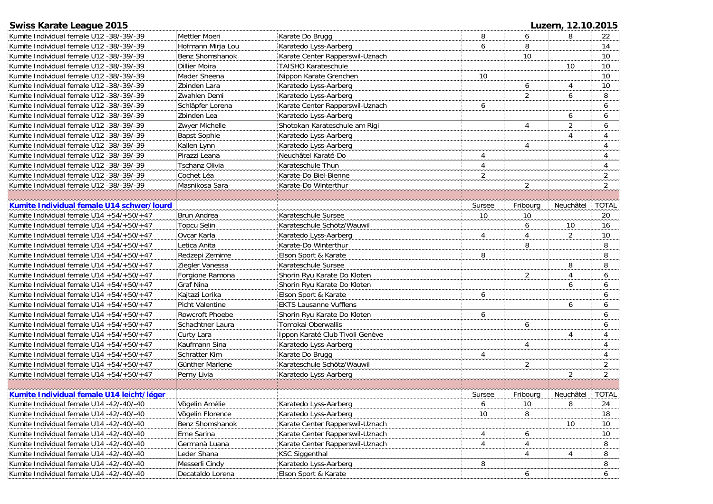| <b>Swiss Karate League 2015</b>                 |                      |                                 | Luzern, 12.10.2015 |                |                |                |  |
|-------------------------------------------------|----------------------|---------------------------------|--------------------|----------------|----------------|----------------|--|
| Kumite Individual female U12 -38/-39/-39        | Mettler Moeri        | Karate Do Brugg                 | 8                  | 6              | 8              | 22             |  |
| Kumite Individual female U12 -38/-39/-39        | Hofmann Mirja Lou    | Karatedo Lyss-Aarberg           | 6                  | 8              |                | 14             |  |
| Kumite Individual female U12 -38/-39/-39        | Benz Shomshanok      | Karate Center Rapperswil-Uznach |                    | 10             |                | 10             |  |
| Kumite Individual female U12 -38/-39/-39        | Dillier Moira        | <b>TAISHO Karateschule</b>      |                    |                | 10             | 10             |  |
| Kumite Individual female U12 -38/-39/-39        | Mader Sheena         | Nippon Karate Grenchen          | 10                 |                |                | 10             |  |
| Kumite Individual female U12 -38/-39/-39        | Zbinden Lara         | Karatedo Lyss-Aarberg           |                    | 6              | 4              | 10             |  |
| Kumite Individual female U12 -38/-39/-39        | Zwahlen Demi         | Karatedo Lyss-Aarberg           |                    | $\overline{2}$ | 6              | 8              |  |
| Kumite Individual female U12 -38/-39/-39        | Schläpfer Lorena     | Karate Center Rapperswil-Uznach | 6                  |                |                | 6              |  |
| Kumite Individual female U12 -38/-39/-39        | Zbinden Lea          | Karatedo Lyss-Aarberg           |                    |                | 6              | 6              |  |
| Kumite Individual female U12 -38/-39/-39        | Zwyer Michelle       | Shotokan Karateschule am Rigi   |                    | 4              | $\overline{2}$ | 6              |  |
| Kumite Individual female U12 -38/-39/-39        | <b>Bapst Sophie</b>  | Karatedo Lyss-Aarberg           |                    |                | $\overline{4}$ | 4              |  |
| Kumite Individual female U12 -38/-39/-39        | Kallen Lynn          | Karatedo Lyss-Aarberg           |                    | 4              |                | 4              |  |
| Kumite Individual female U12 -38/-39/-39        | Pirazzi Leana        | Neuchâtel Karaté-Do             | 4                  |                |                | 4              |  |
| Kumite Individual female U12 -38/-39/-39        | Tschanz Olivia       | Karateschule Thun               | 4                  |                |                | 4              |  |
| Kumite Individual female U12 -38/-39/-39        | Cochet Léa           | Karate-Do Biel-Bienne           | $\overline{c}$     |                |                | $\overline{c}$ |  |
| Kumite Individual female U12 -38/-39/-39        | Masnikosa Sara       | Karate-Do Winterthur            |                    | $\overline{2}$ |                | $\overline{2}$ |  |
|                                                 |                      |                                 |                    |                |                |                |  |
| Kumite Individual female U14 schwer/lourd       |                      |                                 | Sursee             | Fribourg       | Neuchâtel      | <b>TOTAL</b>   |  |
| Kumite Individual female $U14 + 54/ + 50/ + 47$ | Brun Andrea          | Karateschule Sursee             | $10$               | 10             |                | 20             |  |
| Kumite Individual female $U14 + 54/ + 50/ + 47$ | <b>Topcu Selin</b>   | Karateschule Schötz/Wauwil      |                    | 6              | 10             | 16             |  |
| Kumite Individual female $U14 + 54/ + 50/ + 47$ | Ovcar Karla          | Karatedo Lyss-Aarberg           | 4                  | 4              | 2              | 10             |  |
| Kumite Individual female $U14 + 54/ + 50/ + 47$ | Letica Anita         | Karate-Do Winterthur            |                    | 8              |                | 8              |  |
|                                                 |                      |                                 |                    |                |                |                |  |
| Kumite Individual female $U14 + 54/ + 50/ + 47$ | Redzepi Zemime       | Elson Sport & Karate            | 8                  |                |                | 8              |  |
| Kumite Individual female U14 +54/+50/+47        | Ziegler Vanessa      | Karateschule Sursee             |                    |                | 8              | 8              |  |
| Kumite Individual female U14 +54/+50/+47        | Forgione Ramona      | Shorin Ryu Karate Do Kloten     |                    | $\overline{2}$ | $\overline{4}$ | 6              |  |
| Kumite Individual female $U14 + 54/ + 50/ + 47$ | Graf Nina            | Shorin Ryu Karate Do Kloten     |                    |                | 6              | 6              |  |
| Kumite Individual female $U14 + 54/ + 50/ + 47$ | Kajtazi Lorika       | Elson Sport & Karate            | 6                  |                |                | 6              |  |
| Kumite Individual female U14 +54/+50/+47        | Picht Valentine      | <b>EKTS Lausanne Vufflens</b>   |                    |                | 6              | 6              |  |
| Kumite Individual female $U14 + 54/ + 50/ + 47$ | Rowcroft Phoebe      | Shorin Ryu Karate Do Kloten     | 6                  |                |                | 6              |  |
| Kumite Individual female $U14 + 54/ + 50/ + 47$ | Schachtner Laura     | Tomokai Oberwallis              |                    | 6              |                | 6              |  |
| Kumite Individual female $U14 + 54/ + 50/ + 47$ | Curty Lara           | Ippon Karaté Club Tivoli Genève |                    |                | $\overline{4}$ | 4              |  |
| Kumite Individual female $U14 + 54/ + 50/ + 47$ | Kaufmann Sina        | Karatedo Lyss-Aarberg           |                    | 4              |                | 4              |  |
| Kumite Individual female $U14 + 54/ + 50/ + 47$ | <b>Schratter Kim</b> | Karate Do Brugg                 | 4                  |                |                | 4              |  |
| Kumite Individual female $U14 + 54/ + 50/ + 47$ | Günther Marlene      | Karateschule Schötz/Wauwil      |                    | $\overline{2}$ |                | $\overline{2}$ |  |
| Kumite Individual female U14 +54/+50/+47        | Perny Livia          | Karatedo Lyss-Aarberg           |                    |                | $\overline{2}$ | $\overline{2}$ |  |
|                                                 |                      |                                 |                    |                |                |                |  |
| Kumite Individual female U14 leicht/léger       |                      |                                 | Sursee             | Fribourg       | Neuchâtel      | <b>TOTAL</b>   |  |
| Kumite Individual female U14 -42/-40/-40        | Vögelin Amélie       | Karatedo Lyss-Aarberg           | 6                  | 10             | 8              | 24             |  |
| Kumite Individual female U14 -42/-40/-40        | Vögelin Florence     | Karatedo Lyss-Aarberg           | 10                 | 8              |                | 18             |  |
| Kumite Individual female U14 -42/-40/-40        | Benz Shomshanok      | Karate Center Rapperswil-Uznach |                    |                | 10             | 10             |  |
| Kumite Individual female U14 -42/-40/-40        | Erne Sarina          | Karate Center Rapperswil-Uznach | 4                  | 6              |                | 10             |  |
| Kumite Individual female U14 -42/-40/-40        | Germanà Luana        | Karate Center Rapperswil-Uznach | 4                  | 4              |                | 8              |  |
| Kumite Individual female U14 -42/-40/-40        | Leder Shana          | <b>KSC Siggenthal</b>           |                    | 4              | 4              | 8              |  |
| Kumite Individual female U14 -42/-40/-40        | Messerli Cindy       | Karatedo Lyss-Aarberg           | 8                  |                |                | 8              |  |
| Kumite Individual female U14 -42/-40/-40        | Decataldo Lorena     | Elson Sport & Karate            |                    | 6              |                | 6              |  |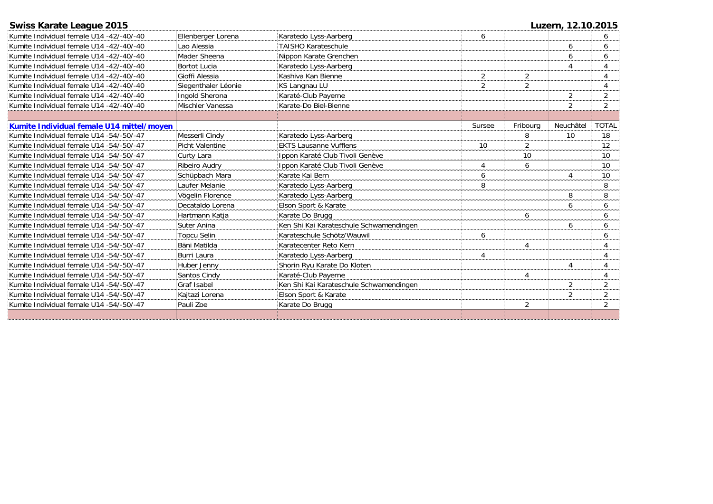| <b>Swiss Karate League 2015</b>           |                        |                                         | Luzern, 12.10.2015 |                |                |              |
|-------------------------------------------|------------------------|-----------------------------------------|--------------------|----------------|----------------|--------------|
| Kumite Individual female U14 -42/-40/-40  | Ellenberger Lorena     | Karatedo Lyss-Aarberg                   | 6                  |                |                |              |
| Kumite Individual female U14 -42/-40/-40  | Lao Alessia            | <b>TAISHO Karateschule</b>              |                    |                | 6              | 6            |
| Kumite Individual female U14 -42/-40/-40  | Mader Sheena           | Nippon Karate Grenchen                  |                    |                | 6              | 6            |
| Kumite Individual female U14 -42/-40/-40  | <b>Bortot Lucia</b>    | Karatedo Lyss-Aarberg                   |                    |                | 4              | 4            |
| Kumite Individual female U14 -42/-40/-40  | Gioffi Alessia         | Kashiva Kan Bienne                      | $\overline{2}$     | $\overline{2}$ |                |              |
| Kumite Individual female U14 -42/-40/-40  | Siegenthaler Léonie    | KS Langnau LU                           | $\overline{2}$     | $\overline{2}$ |                |              |
| Kumite Individual female U14 -42/-40/-40  | Ingold Sherona         | Karaté-Club Payerne                     |                    |                | $\overline{2}$ | 2            |
| Kumite Individual female U14 -42/-40/-40  | Mischler Vanessa       | Karate-Do Biel-Bienne                   |                    |                | $\overline{2}$ | 2            |
|                                           |                        |                                         |                    |                |                |              |
| Kumite Individual female U14 mittel/moyen |                        |                                         | Sursee             | Fribourg       | Neuchâtel      | <b>TOTAL</b> |
| Kumite Individual female U14 -54/-50/-47  | Messerli Cindy         | Karatedo Lyss-Aarberg                   |                    | 8              | 10             | 18           |
| Kumite Individual female U14 -54/-50/-47  | <b>Picht Valentine</b> | <b>EKTS Lausanne Vufflens</b>           | 10                 | $\overline{2}$ |                | 12           |
| Kumite Individual female U14 -54/-50/-47  | Curty Lara             | Ippon Karaté Club Tivoli Genève         |                    | 10             |                | 10           |
| Kumite Individual female U14 -54/-50/-47  | Ribeiro Audry          | Ippon Karaté Club Tivoli Genève         | $\overline{4}$     | 6              |                | 10           |
| Kumite Individual female U14 -54/-50/-47  | Schüpbach Mara         | Karate Kai Bern                         | 6                  |                | 4              | 10           |
| Kumite Individual female U14 -54/-50/-47  | Laufer Melanie         | Karatedo Lyss-Aarberg                   | 8                  |                |                | 8            |
| Kumite Individual female U14 -54/-50/-47  | Vögelin Florence       | Karatedo Lyss-Aarberg                   |                    |                | 8              | 8            |
| Kumite Individual female U14 -54/-50/-47  | Decataldo Lorena       | Elson Sport & Karate                    |                    |                | 6              | 6            |
| Kumite Individual female U14 -54/-50/-47  | Hartmann Katja         | Karate Do Brugg                         |                    | 6              |                | 6            |
| Kumite Individual female U14 -54/-50/-47  | Suter Anina            | Ken Shi Kai Karateschule Schwamendingen |                    |                | 6              | 6            |
| Kumite Individual female U14 -54/-50/-47  | Topcu Selin            | Karateschule Schötz/Wauwil              | 6                  |                |                | 6            |
| Kumite Individual female U14 -54/-50/-47  | Bäni Matilda           | Karatecenter Reto Kern                  |                    | 4              |                |              |
| Kumite Individual female U14 -54/-50/-47  | Burri Laura            | Karatedo Lyss-Aarberg                   | $\overline{4}$     |                |                | 4            |
| Kumite Individual female U14 -54/-50/-47  | Huber Jenny            | Shorin Ryu Karate Do Kloten             |                    |                | 4              |              |
| Kumite Individual female U14 -54/-50/-47  | Santos Cindy           | Karaté-Club Payerne                     |                    | 4              |                |              |
| Kumite Individual female U14 -54/-50/-47  | Graf Isabel            | Ken Shi Kai Karateschule Schwamendingen |                    |                | 2              | 2            |
| Kumite Individual female U14 -54/-50/-47  | Kaitazi Lorena         | Elson Sport & Karate                    |                    |                | $\overline{2}$ | 2            |

Karate Do Brugg 2 2

Kumite Individual female U14 -54/-50/-47 Pauli Zoe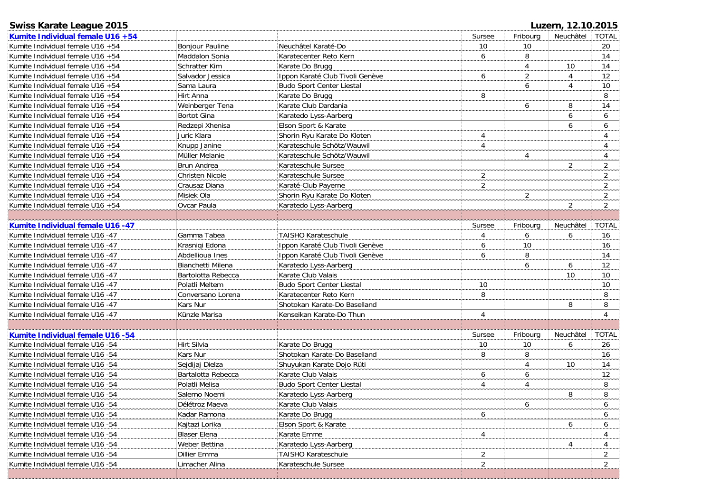| <b>Swiss Karate League 2015</b>     |                        |                                 |                |                | Luzern, 12.10.20 |                |
|-------------------------------------|------------------------|---------------------------------|----------------|----------------|------------------|----------------|
| Kumite Individual female U16 +54    |                        |                                 | Sursee         | Fribourg       | Neuchâtel        | <b>TOT</b>     |
| Kumite Individual female U16 +54    | <b>Bonjour Pauline</b> | Neuchâtel Karaté-Do             | 10             | 10             |                  | 2 <sub>C</sub> |
| Kumite Individual female U16 +54    | Maddalon Sonia         | Karatecenter Reto Kern          | 6              | 8              |                  | 14             |
| Kumite Individual female U16 +54    | Schratter Kim          | Karate Do Brugg                 |                |                | 10               | 14             |
| Kumite Individual female U16 +54    | Salvador Jessica       | Ippon Karaté Club Tivoli Genève | 6              | $\overline{2}$ | 4                | 12             |
| Kumite Individual female U16 +54    | Sama Laura             | Budo Sport Center Liestal       |                | 6              | 4                | 1 <sup>1</sup> |
| Kumite Individual female U16 +54    | Hirt Anna              | Karate Do Brugg                 | 8              |                |                  | 8              |
| Kumite Individual female U16 +54    | Weinberger Tena        | Karate Club Dardania            |                | 6              | 8                | 14             |
| Kumite Individual female U16 +54    | <b>Bortot Gina</b>     | Karatedo Lyss-Aarberg           |                |                | 6                | 6              |
| Kumite Individual female $U16 + 54$ | Redzepi Xhenisa        | Elson Sport & Karate            |                |                | 6                | 6              |
| Kumite Individual female U16 +54    | Juric Klara            | Shorin Ryu Karate Do Kloten     | 4              |                |                  |                |
| Kumite Individual female U16 +54    | Knupp Janine           | Karateschule Schötz/Wauwil      | 4              |                |                  |                |
| Kumite Individual female U16 +54    | Müller Melanie         | Karateschule Schötz/Wauwil      |                | 4              |                  |                |
| Kumite Individual female U16 +54    | <b>Brun Andrea</b>     | Karateschule Sursee             |                |                | 2                | $\overline{2}$ |
| Kumite Individual female $U16 + 54$ | Christen Nicole        | Karateschule Sursee             | $\overline{2}$ |                |                  | 2              |
| Kumite Individual female U16 +54    | Crausaz Diana          | Karaté-Club Payerne             | $\overline{2}$ |                |                  | 2              |
| Kumite Individual female U16 +54    | Misiek Ola             | Shorin Ryu Karate Do Kloten     |                | 2              |                  | $\overline{2}$ |
| Kumite Individual female U16 +54    | Ovcar Paula            | Karatedo Lyss-Aarberg           |                |                | 2                | $\overline{2}$ |
|                                     |                        |                                 |                |                |                  |                |
| Kumite Individual female U16 -47    |                        |                                 | Sursee         | Fribourg       | Neuchâtel        | <b>TOT</b>     |
| Kumite Individual female U16 -47    | Gamma Tabea            | <b>TAISHO Karateschule</b>      | 4              | 6              | 6                | 16             |
| Kumite Individual female U16 -47    | Krasniqi Edona         | Ippon Karaté Club Tivoli Genève | 6              | 10             |                  | 16             |
| Kumite Individual female U16 -47    | Abdellioua Ines        | Ippon Karaté Club Tivoli Genève | 6              | 8              |                  | 14             |

| Kumite Individual female U16 +54    |                        |                                  | Sursee         | Fribourg       | Neuchâtel      | <b>TOTAL</b>   |
|-------------------------------------|------------------------|----------------------------------|----------------|----------------|----------------|----------------|
| Kumite Individual female U16 +54    | Bonjour Pauline        | Neuchâtel Karaté-Do              | 10             | 10             |                | 20             |
| Kumite Individual female U16 +54    | Maddalon Sonia         | Karatecenter Reto Kern           | 6              | 8              |                | 14             |
| Kumite Individual female U16 +54    | Schratter Kim          | Karate Do Brugg                  |                | 4              | 10             | 14             |
| Kumite Individual female U16 +54    | Salvador Jessica       | Ippon Karaté Club Tivoli Genève  | 6              | 2              | 4              | 12             |
| Kumite Individual female U16 +54    | Sama Laura             | <b>Budo Sport Center Liestal</b> |                | 6              | 4              | 10             |
| Kumite Individual female U16 +54    | Hirt Anna              | Karate Do Brugg                  | 8              |                |                | 8              |
| Kumite Individual female U16 +54    | Weinberger Tena        | Karate Club Dardania             |                | 6              | 8              | 14             |
| Kumite Individual female U16 +54    | Bortot Gina            | Karatedo Lyss-Aarberg            |                |                | 6              | 6              |
| Kumite Individual female U16 +54    | Redzepi Xhenisa        | Elson Sport & Karate             |                |                | 6              | 6              |
| Kumite Individual female U16 +54    | Juric Klara            | Shorin Ryu Karate Do Kloten      | 4              |                |                | 4              |
| Kumite Individual female U16 +54    | Knupp Janine           | Karateschule Schötz/Wauwil       | 4              |                |                | 4              |
| Kumite Individual female U16 +54    | Müller Melanie         | Karateschule Schötz/Wauwil       |                | 4              |                | 4              |
| Kumite Individual female U16 +54    | <b>Brun Andrea</b>     | Karateschule Sursee              |                |                | $\overline{2}$ | $\overline{2}$ |
| Kumite Individual female U16 +54    | <b>Christen Nicole</b> | Karateschule Sursee              | $\overline{a}$ |                |                | $\overline{2}$ |
| Kumite Individual female U16 +54    | Crausaz Diana          | Karaté-Club Payerne              | 2              |                |                | $\overline{2}$ |
| Kumite Individual female U16 +54    | Misiek Ola             | Shorin Ryu Karate Do Kloten      |                | $\overline{2}$ |                | $\overline{2}$ |
| Kumite Individual female $U16 + 54$ | Ovcar Paula            | Karatedo Lyss-Aarberg            |                |                | $\overline{2}$ | $\overline{2}$ |
|                                     |                        |                                  |                |                |                |                |
| Kumite Individual female U16 -47    |                        |                                  | Sursee         | Fribourg       | Neuchâtel      | <b>TOTAL</b>   |
| Kumite Individual female U16 -47    | Gamma Tabea            | <b>TAISHO Karateschule</b>       | 4              | 6              | 6              | 16             |
| Kumite Individual female U16 -47    | Krasniqi Edona         | Ippon Karaté Club Tivoli Genève  | 6              | 10             |                | 16             |
| Kumite Individual female U16 -47    | Abdellioua Ines        | Ippon Karaté Club Tivoli Genève  | 6              | 8              |                | 14             |
| Kumite Individual female U16 -47    | Bianchetti Milena      | Karatedo Lyss-Aarberg            |                | 6              | 6              | 12             |
| Kumite Individual female U16 -47    | Bartolotta Rebecca     | Karate Club Valais               |                |                | 10             | 10             |
| Kumite Individual female U16 -47    | Polatli Meltem         | <b>Budo Sport Center Liestal</b> | 10             |                |                | 10             |
| Kumite Individual female U16 -47    | Conversano Lorena      | Karatecenter Reto Kern           | 8              |                |                | 8              |
| Kumite Individual female U16 -47    | Kars Nur               | Shotokan Karate-Do Baselland     |                |                | 8              | 8              |
| Kumite Individual female U16 -47    | Künzle Marisa          | Kenseikan Karate-Do Thun         | 4              |                |                | $\overline{4}$ |
|                                     |                        |                                  |                |                |                |                |
| Kumite Individual female U16 -54    |                        |                                  | Sursee         | Fribourg       | Neuchâtel      | <b>TOTAL</b>   |
| Kumite Individual female U16 -54    | Hirt Silvia            | Karate Do Brugg                  | 10             | 10             | 6              | 26             |
| Kumite Individual female U16 -54    | Kars Nur               | Shotokan Karate-Do Baselland     | 8              | 8              |                | 16             |
| Kumite Individual female U16 -54    | Sejdijaj Dielza        | Shuyukan Karate Dojo Rüti        |                | 4              | 10             | 14             |
| Kumite Individual female U16 -54    | Bartalotta Rebecca     | Karate Club Valais               | 6              | 6              |                | 12             |
| Kumite Individual female U16 -54    | Polatli Melisa         | Budo Sport Center Liestal        | $\overline{4}$ | 4              |                | 8              |
| Kumite Individual female U16 -54    | Salerno Noemi          | Karatedo Lyss-Aarberg            |                |                | 8              | 8              |
| Kumite Individual female U16 -54    | Délétroz Maeva         | Karate Club Valais               |                | 6              |                | 6              |
| Kumite Individual female U16 -54    | Kadar Ramona           | Karate Do Brugg                  | 6              |                |                | 6              |
| Kumite Individual female U16 -54    | Kajtazi Lorika         | Elson Sport & Karate             |                |                | 6              | 6              |
| Kumite Individual female U16 -54    | <b>Blaser Elena</b>    | Karate Emme                      | $\overline{4}$ |                |                | 4              |
| Kumite Individual female U16 -54    | Weber Bettina          | Karatedo Lyss-Aarberg            |                |                | 4              | 4              |
| Kumite Individual female U16 -54    | Dillier Emma           | TAISHO Karateschule              | $\overline{2}$ |                |                | $\overline{2}$ |
| Kumite Individual female U16 -54    | Limacher Alina         | Karateschule Sursee              | $\overline{2}$ |                |                | $\overline{2}$ |
|                                     |                        |                                  |                |                |                |                |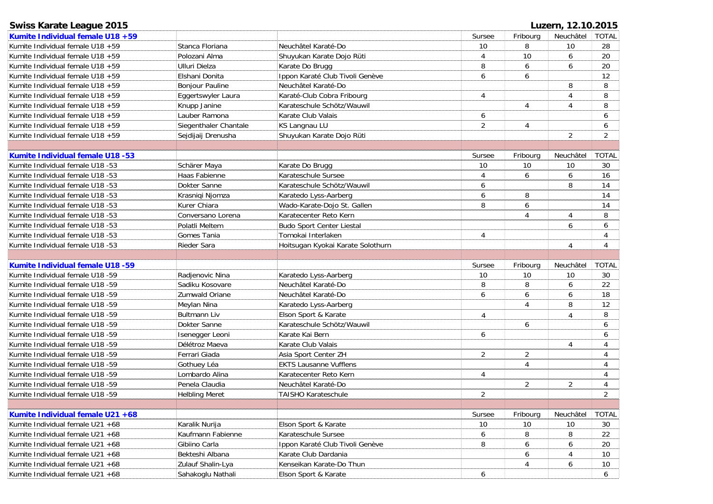| <b>Swiss Karate League 2015</b>         |                        |                                   |                |                | Luzern, 12.10.2015 |                |
|-----------------------------------------|------------------------|-----------------------------------|----------------|----------------|--------------------|----------------|
| Kumite Individual female U18 +59        |                        |                                   | Sursee         | Fribourg       | Neuchâtel          | <b>TOTAL</b>   |
| Kumite Individual female U18 +59        | Stanca Floriana        | Neuchâtel Karaté-Do               | 10             | 8              | 10                 | 28             |
| Kumite Individual female U18 +59        | Polozani Alma          | Shuyukan Karate Dojo Rüti         | 4              | 10             | 6                  | 20             |
| Kumite Individual female U18 +59        | <b>Ulluri Dielza</b>   | Karate Do Brugg                   | 8              | 6              | 6                  | 20             |
| Kumite Individual female U18 +59        | Elshani Donita         | Ippon Karaté Club Tivoli Genève   | 6              | 6              |                    | 12             |
| Kumite Individual female U18 +59        | <b>Bonjour Pauline</b> | Neuchâtel Karaté-Do               |                |                | 8                  | 8              |
| Kumite Individual female U18 +59        | Eggertswyler Laura     | Karaté-Club Cobra Fribourg        | 4              |                | $\overline{4}$     | 8              |
| Kumite Individual female U18 +59        | Knupp Janine           | Karateschule Schötz/Wauwil        |                | 4              | $\overline{4}$     | 8              |
| Kumite Individual female U18 +59        | Lauber Ramona          | Karate Club Valais                | 6              |                |                    | 6              |
| Kumite Individual female U18 +59        | Siegenthaler Chantale  | <b>KS Langnau LU</b>              | $\overline{2}$ | $\overline{4}$ |                    | 6              |
| Kumite Individual female U18 +59        | Sejdijaij Drenusha     | Shuyukan Karate Dojo Rüti         |                |                | $\overline{2}$     | $\overline{2}$ |
|                                         |                        |                                   |                |                |                    |                |
| Kumite Individual female U18 -53        |                        |                                   | Sursee         | Fribourg       | Neuchâtel          | <b>TOTAL</b>   |
| Kumite Individual female U18 -53        | Schärer Maya           | Karate Do Brugg                   | 10             | 10             | 10                 | 30             |
| Kumite Individual female U18 -53        | Haas Fabienne          | Karateschule Sursee               | 4              | 6              | 6                  | 16             |
| Kumite Individual female U18 -53        | Dokter Sanne           | Karateschule Schötz/Wauwil        | 6              |                | 8                  | 14             |
| Kumite Individual female U18 -53        | Krasniqi Njomza        | Karatedo Lyss-Aarberg             | 6              | 8              |                    | 14             |
| Kumite Individual female U18 -53        | Kurer Chiara           | Wado-Karate-Dojo St. Gallen       | 8              | 6              |                    | 14             |
| Kumite Individual female U18 -53        | Conversano Lorena      | Karatecenter Reto Kern            |                | 4              | 4                  | 8              |
| Kumite Individual female U18 -53        | Polatli Meltem         | <b>Budo Sport Center Liestal</b>  |                |                | 6                  | 6              |
| Kumite Individual female U18 -53        | Gomes Tania            | Tomokai Interlaken                | 4              |                |                    | 4              |
| Kumite Individual female U18 -53        | Rieder Sara            | Hoitsugan Kyokai Karate Solothurn |                |                | $\overline{4}$     | 4              |
|                                         |                        |                                   |                |                |                    |                |
| <b>Kumite Individual female U18 -59</b> |                        |                                   | Sursee         | Fribourg       | Neuchâtel          | <b>TOTAL</b>   |
| Kumite Individual female U18 -59        | Radjenovic Nina        | Karatedo Lyss-Aarberg             | 10             | 10             | 10                 | 30             |
| Kumite Individual female U18 -59        | Sadiku Kosovare        | Neuchâtel Karaté-Do               | 8              | 8              | 6                  | 22             |
| Kumite Individual female U18 -59        | Zumwald Oriane         | Neuchâtel Karaté-Do               | 6              | 6              | 6                  | 18             |
| Kumite Individual female U18 -59        | Meylan Nina            | Karatedo Lyss-Aarberg             |                | $\overline{4}$ | 8                  | 12             |
| Kumite Individual female U18 -59        | <b>Bultmann Liv</b>    | Elson Sport & Karate              | 4              |                | $\overline{A}$     | 8              |
| Kumite Individual female U18 -59        | Dokter Sanne           | Karateschule Schötz/Wauwil        |                | 6              |                    | 6              |
| Kumite Individual female U18 -59        | Isenegger Leoni        | Karate Kai Bern                   | 6              |                |                    | 6              |
| Kumite Individual female U18 -59        | Délétroz Maeva         | Karate Club Valais                |                |                | $\overline{4}$     | 4              |
| Kumite Individual female U18 -59        | Ferrari Giada          | Asia Sport Center ZH              | $\overline{2}$ | $\overline{2}$ |                    | 4              |
| Kumite Individual female U18 -59        | Gothuey Léa            | <b>EKTS Lausanne Vufflens</b>     |                | $\overline{4}$ |                    | 4              |
| Kumite Individual female U18 -59        | Lombardo Alina         | Karatecenter Reto Kern            | 4              |                |                    | 4              |
| Kumite Individual female U18 -59        | Penela Claudia         | Neuchâtel Karaté-Do               |                | $\overline{2}$ | $\overline{2}$     | 4              |
| Kumite Individual female U18 -59        | <b>Helbling Meret</b>  | <b>TAISHO Karateschule</b>        | $\overline{2}$ |                |                    | 2              |
|                                         |                        |                                   |                |                |                    |                |
| Kumite Individual female U21 +68        |                        |                                   | Sursee         | Fribourg       | Neuchâtel          | <b>TOTAL</b>   |
| Kumite Individual female U21 +68        | Karalik Nurija         | Elson Sport & Karate              | $10$           | 10             | 10                 | 30             |
| Kumite Individual female U21 +68        | Kaufmann Fabienne      | Karateschule Sursee               | 6              | 8              | 8                  | 22             |
| Kumite Individual female U21 +68        | Gibiino Carla          | Ippon Karaté Club Tivoli Genève   | 8              | 6              | 6                  | 20             |
| Kumite Individual female U21 +68        | Bekteshi Albana        | Karate Club Dardania              |                | 6              | 4                  | 10             |
| Kumite Individual female U21 +68        | Zulauf Shalin-Lya      | Kenseikan Karate-Do Thun          |                | 4              | 6                  | 10             |
| Kumite Individual female U21 +68        | Sahakoglu Nathali      | Elson Sport & Karate              | 6              |                |                    | 6              |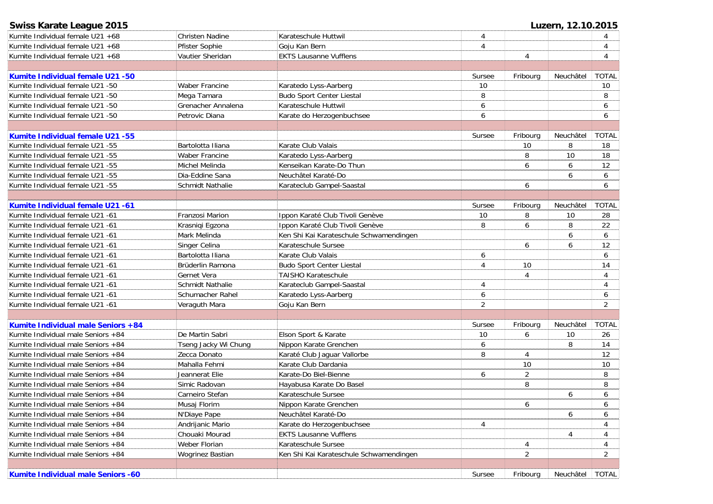| <b>Swiss Karate League 2015</b>         |                         |                                         |                |                | Luzern, 12.10.2015 |                |
|-----------------------------------------|-------------------------|-----------------------------------------|----------------|----------------|--------------------|----------------|
| Kumite Individual female U21 +68        | Christen Nadine         | Karateschule Huttwil                    | 4              |                |                    |                |
| Kumite Individual female U21 +68        | Pfister Sophie          | Goju Kan Bern                           | 4              |                |                    | 4              |
| Kumite Individual female U21 +68        | Vautier Sheridan        | <b>EKTS Lausanne Vufflens</b>           |                | 4              |                    | 4              |
|                                         |                         |                                         |                |                |                    |                |
| Kumite Individual female U21 -50        |                         |                                         | Sursee         | Fribourg       | Neuchâtel          | <b>TOTAL</b>   |
| Kumite Individual female U21 -50        | Waber Francine          | Karatedo Lyss-Aarberg                   | 10             |                |                    | 10             |
| Kumite Individual female U21 -50        | Mega Tamara             | <b>Budo Sport Center Liestal</b>        | 8              |                |                    | 8              |
| Kumite Individual female U21 -50        | Grenacher Annalena      | Karateschule Huttwil                    | 6              |                |                    | 6              |
| Kumite Individual female U21 -50        | Petrovic Diana          | Karate do Herzogenbuchsee               | 6              |                |                    | 6              |
|                                         |                         |                                         |                |                |                    |                |
| <b>Kumite Individual female U21 -55</b> |                         |                                         | Sursee         | Fribourg       | Neuchâtel          | <b>TOTAL</b>   |
| Kumite Individual female U21 -55        | Bartolotta Iliana       | Karate Club Valais                      |                | 10             | 8                  | 18             |
| Kumite Individual female U21 -55        | Waber Francine          | Karatedo Lyss-Aarberg                   |                | 8              | 10                 | 18             |
| Kumite Individual female U21 -55        | Michel Melinda          | Kenseikan Karate-Do Thun                |                | 6              | 6                  | 12             |
| Kumite Individual female U21 -55        | Dia-Eddine Sana         | Neuchâtel Karaté-Do                     |                |                | 6                  | 6              |
| Kumite Individual female U21 -55        | <b>Schmidt Nathalie</b> | Karateclub Gampel-Saastal               |                | 6              |                    | 6              |
|                                         |                         |                                         |                |                |                    |                |
| Kumite Individual female U21 -61        |                         |                                         | Sursee         | Fribourg       | Neuchâtel          | <b>TOTAL</b>   |
| Kumite Individual female U21 -61        | Franzosi Marion         | Ippon Karaté Club Tivoli Genève         | 10             | 8              | 10                 | 28             |
| Kumite Individual female U21 -61        | Krasniqi Egzona         | Ippon Karaté Club Tivoli Genève         | 8              | 6              | 8                  | 22             |
| Kumite Individual female U21 -61        | Mark Melinda            | Ken Shi Kai Karateschule Schwamendingen |                |                | 6                  | 6              |
| Kumite Individual female U21 -61        | Singer Celina           | Karateschule Sursee                     |                | 6              | 6                  | 12             |
| Kumite Individual female U21 -61        | Bartolotta Iliana       | Karate Club Valais                      | 6              |                |                    | 6              |
| Kumite Individual female U21 -61        | Brüderlin Ramona        | <b>Budo Sport Center Liestal</b>        | 4              | 10             |                    | 14             |
| Kumite Individual female U21 -61        | Gernet Vera             | <b>TAISHO Karateschule</b>              |                | 4              |                    | 4              |
| Kumite Individual female U21 -61        | Schmidt Nathalie        | Karateclub Gampel-Saastal               | 4              |                |                    | 4              |
| Kumite Individual female U21 -61        | Schumacher Rahel        | Karatedo Lyss-Aarberg                   | 6              |                |                    | 6              |
| Kumite Individual female U21 -61        | Veraguth Mara           | Goju Kan Bern                           | $\overline{2}$ |                |                    | $\overline{2}$ |
|                                         |                         |                                         |                |                |                    |                |
| Kumite Individual male Seniors +84      |                         |                                         | Sursee         | Fribourg       | Neuchâtel          | <b>TOTAL</b>   |
| Kumite Individual male Seniors +84      | De Martin Sabri         | Elson Sport & Karate                    | 10             | 6              | 10                 | 26             |
| Kumite Individual male Seniors +84      | Tseng Jacky Wi Chung    | Nippon Karate Grenchen                  | 6              |                | 8                  | 14             |
| Kumite Individual male Seniors +84      | Zecca Donato            | Karaté Club Jaguar Vallorbe             | 8              | 4              |                    | 12             |
| Kumite Individual male Seniors +84      | Mahalla Fehmi           | Karate Club Dardania                    |                | 10             |                    | 10             |
| Kumite Individual male Seniors +84      | Jeannerat Elie          | Karate-Do Biel-Bienne                   | 6              | $\overline{2}$ |                    | 8              |
| Kumite Individual male Seniors +84      | Simic Radovan           | Hayabusa Karate Do Basel                |                | 8              |                    | 8              |
| Kumite Individual male Seniors +84      | Carneiro Stefan         | Karateschule Sursee                     |                |                | 6                  | 6              |
| Kumite Individual male Seniors +84      | Musaj Florim            | Nippon Karate Grenchen                  |                | 6              |                    | 6              |
| Kumite Individual male Seniors +84      | N'Diaye Pape            | Neuchâtel Karaté-Do                     |                |                | 6                  | 6              |
| Kumite Individual male Seniors +84      | Andrijanic Mario        | Karate do Herzogenbuchsee               | 4              |                |                    | 4              |
| Kumite Individual male Seniors +84      | Chouaki Mourad          | <b>EKTS Lausanne Vufflens</b>           |                |                | 4                  | 4              |
| Kumite Individual male Seniors +84      | Weber Florian           | Karateschule Sursee                     |                | 4              |                    | 4              |
| Kumite Individual male Seniors +84      | Wogrinez Bastian        | Ken Shi Kai Karateschule Schwamendingen |                | $\overline{2}$ |                    | $\overline{2}$ |
|                                         |                         |                                         |                |                |                    |                |
| Kumite Individual male Seniors -60      |                         |                                         | Sursee         | Fribourg       | Neuchâtel          | <b>TOTAL</b>   |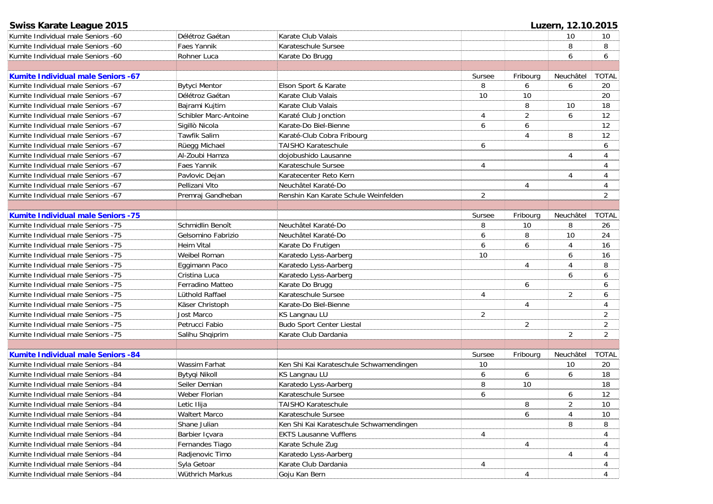| Swiss Karate League 2015                   |                       |                                         |                |                | Luzern, 12.10.2015 |                |
|--------------------------------------------|-----------------------|-----------------------------------------|----------------|----------------|--------------------|----------------|
| Kumite Individual male Seniors -60         | Délétroz Gaétan       | Karate Club Valais                      |                |                | 10                 | 10             |
| Kumite Individual male Seniors -60         | Faes Yannik           | Karateschule Sursee                     |                |                | 8                  | 8              |
| Kumite Individual male Seniors -60         | Rohner Luca           | Karate Do Brugg                         |                |                | 6                  | 6              |
|                                            |                       |                                         |                |                |                    |                |
| <b>Kumite Individual male Seniors -67</b>  |                       |                                         | Sursee         | Fribourg       | Neuchâtel          | <b>TOTAL</b>   |
| Kumite Individual male Seniors -67         | <b>Bytyci Mentor</b>  | Elson Sport & Karate                    | 8              | 6              | 6                  | 20             |
| Kumite Individual male Seniors -67         | Délétroz Gaétan       | Karate Club Valais                      | 10             | 10             |                    | 20             |
| Kumite Individual male Seniors -67         | Bajrami Kujtim        | Karate Club Valais                      |                | 8              | 10                 | 18             |
| Kumite Individual male Seniors -67         | Schibler Marc-Antoine | Karaté Club Jonction                    | 4              | 2              | 6                  | 12             |
| Kumite Individual male Seniors -67         | Sigillò Nicola        | Karate-Do Biel-Bienne                   | 6              | 6              |                    | 12             |
| Kumite Individual male Seniors -67         | <b>Tawfik Salim</b>   | Karaté-Club Cobra Fribourg              |                | $\overline{4}$ | 8                  | 12             |
| Kumite Individual male Seniors -67         | Rüegg Michael         | <b>TAISHO Karateschule</b>              | 6              |                |                    | 6              |
| Kumite Individual male Seniors -67         | Al-Zoubi Hamza        | dojobushido Lausanne                    |                |                | 4                  | 4              |
| Kumite Individual male Seniors -67         | Faes Yannik           | Karateschule Sursee                     | $\overline{4}$ |                |                    | $\overline{4}$ |
| Kumite Individual male Seniors -67         | Pavlovic Dejan        | Karatecenter Reto Kern                  |                |                | $\overline{4}$     | 4              |
| Kumite Individual male Seniors -67         | Pellizani Vito        | Neuchâtel Karaté-Do                     |                | 4              |                    | 4              |
| Kumite Individual male Seniors -67         | Premraj Gandheban     | Renshin Kan Karate Schule Weinfelden    | $\overline{2}$ |                |                    | $\overline{2}$ |
|                                            |                       |                                         |                |                |                    |                |
| <b>Kumite Individual male Seniors - 75</b> |                       |                                         | Sursee         | Fribourg       | Neuchâtel          | <b>TOTAL</b>   |
| Kumite Individual male Seniors -75         | Schmidlin Benoît      | Neuchâtel Karaté-Do                     | 8              | 10             | 8                  | 26             |
| Kumite Individual male Seniors -75         | Gelsomino Fabrizio    | Neuchâtel Karaté-Do                     | 6              | 8              | 10                 | 24             |
| Kumite Individual male Seniors -75         | <b>Heim Vital</b>     | Karate Do Frutigen                      | 6              | 6              | $\overline{4}$     | 16             |
| Kumite Individual male Seniors -75         | Weibel Roman          | Karatedo Lyss-Aarberg                   | 10             |                | 6                  | 16             |
| Kumite Individual male Seniors -75         | Eggimann Paco         | Karatedo Lyss-Aarberg                   |                | 4              | $\overline{4}$     | 8              |
| Kumite Individual male Seniors -75         | Cristina Luca         | Karatedo Lyss-Aarberg                   |                |                | 6                  | 6              |
| Kumite Individual male Seniors -75         | Ferradino Matteo      | Karate Do Brugg                         |                | 6              |                    | 6              |
| Kumite Individual male Seniors -75         | Lüthold Raffael       | Karateschule Sursee                     | 4              |                | $\overline{2}$     | 6              |
| Kumite Individual male Seniors -75         | Käser Christoph       | Karate-Do Biel-Bienne                   |                | 4              |                    | 4              |
| Kumite Individual male Seniors -75         | Jost Marco            | KS Langnau LU                           | $\overline{2}$ |                |                    | $\overline{2}$ |
| Kumite Individual male Seniors -75         | Petrucci Fabio        | <b>Budo Sport Center Liestal</b>        |                | $\overline{2}$ |                    | $\overline{2}$ |
| Kumite Individual male Seniors -75         | Salihu Shqiprim       | Karate Club Dardania                    |                |                | $\overline{2}$     | $\overline{2}$ |
|                                            |                       |                                         |                |                |                    |                |
| <b>Kumite Individual male Seniors -84</b>  |                       |                                         | Sursee         | Fribourg       | Neuchâtel          | <b>TOTAL</b>   |
| Kumite Individual male Seniors -84         | Wassim Farhat         | Ken Shi Kai Karateschule Schwamendingen | 10             |                | 10                 | 20             |
| Kumite Individual male Seniors -84         | Bytyqi Nikoll         | KS Langnau LU                           | 6              | 6              | 6                  | 18             |
| Kumite Individual male Seniors -84         | Seiler Demian         | Karatedo Lyss-Aarberg                   | 8              | 10             |                    | 18             |
| Kumite Individual male Seniors -84         | Weber Florian         | Karateschule Sursee                     | 6              |                | 6                  | 12             |
| Kumite Individual male Seniors -84         | Letic Ilija           | TAISHO Karateschule                     |                | 8              | 2                  | 10             |
| Kumite Individual male Seniors -84         | Waltert Marco         | Karateschule Sursee                     |                | 6              | 4                  | 10             |
| Kumite Individual male Seniors -84         | Shane Julian          | Ken Shi Kai Karateschule Schwamendingen |                |                | 8                  | 8              |
| Kumite Individual male Seniors -84         | Barbier Içvara        | <b>EKTS Lausanne Vufflens</b>           | 4              |                |                    | 4              |
| Kumite Individual male Seniors -84         | Fernandes Tiago       | Karate Schule Zug                       |                | 4              |                    | 4              |
| Kumite Individual male Seniors -84         | Radjenovic Timo       | Karatedo Lyss-Aarberg                   |                |                | 4                  | 4              |
| Kumite Individual male Seniors -84         | Syla Getoar           | Karate Club Dardania                    | 4              |                |                    | 4              |
| Kumite Individual male Seniors -84         | Wüthrich Markus       | Goju Kan Bern                           |                | 4              |                    |                |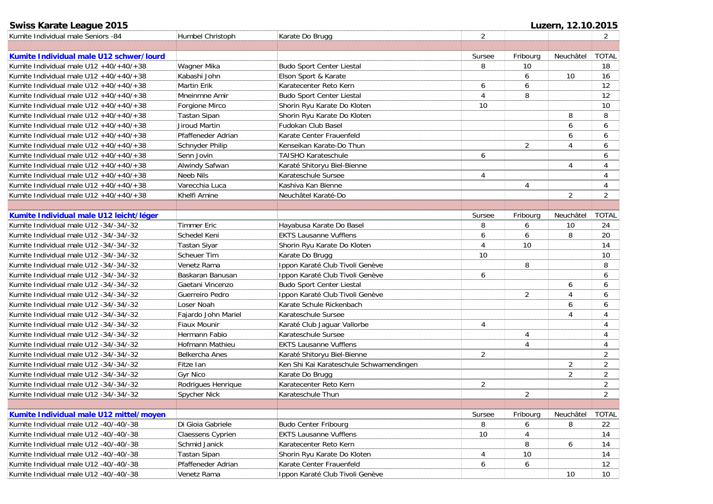# **Swiss Karate League 2015 Luzern, 12.10.2015**

| Kumite Individual male Seniors -84            | Humbel Christoph       | Karate Do Brugg                         | $\overline{2}$ |          |                | $\overline{2}$ |
|-----------------------------------------------|------------------------|-----------------------------------------|----------------|----------|----------------|----------------|
|                                               |                        |                                         |                |          |                |                |
| Kumite Individual male U12 schwer/lourd       |                        |                                         | Sursee         | Fribourg | Neuchâtel      | <b>TOTAL</b>   |
| Kumite Individual male U12 +40/+40/+38        | Wagner Mika            | <b>Budo Sport Center Liestal</b>        | 8              | 10       |                | 18             |
| Kumite Individual male U12 +40/+40/+38        | Kabashi John           | Elson Sport & Karate                    |                | 6        | 10             | 16             |
| Kumite Individual male U12 +40/+40/+38        | <b>Martin Erik</b>     | Karatecenter Reto Kern                  | 6              | 6        |                | 12             |
| Kumite Individual male U12 +40/+40/+38        | Mneinmne Amir          | <b>Budo Sport Center Liestal</b>        | $\overline{4}$ | 8        |                | 12             |
| Kumite Individual male $U12 + 40/ + 40/ + 38$ | Forgione Mirco         | Shorin Ryu Karate Do Kloten             | 10             |          |                | 10             |
| Kumite Individual male $U12 + 40/ + 40/ + 38$ | <b>Tastan Sipan</b>    | Shorin Ryu Karate Do Kloten             |                |          | 8              | 8              |
| Kumite Individual male U12 +40/+40/+38        | Jiroud Martin          | Fudokan Club Basel                      |                |          | 6              | 6              |
| Kumite Individual male U12 +40/+40/+38        | Pfaffeneder Adrian     | Karate Center Frauenfeld                |                |          | 6              | 6              |
| Kumite Individual male $U12 + 40/ + 40/ + 38$ | Schnyder Philip        | Kenseikan Karate-Do Thun                |                | 2        | 4              | 6              |
| Kumite Individual male U12 +40/+40/+38        | Senn Jovin             | <b>TAISHO Karateschule</b>              | 6              |          |                | 6              |
| Kumite Individual male $U12 + 40/ + 40/ + 38$ | Alwindy Safwan         | Karaté Shitoryu Biel-Bienne             |                |          | 4              | 4              |
| Kumite Individual male $U12 + 40/ + 40/ + 38$ | Neeb Nils              | Karateschule Sursee                     | 4              |          |                | 4              |
| Kumite Individual male $U12 + 40/ + 40/ + 38$ | Varecchia Luca         | Kashiva Kan Bienne                      |                | 4        |                | 4              |
| Kumite Individual male $U12 + 40/ + 40/ + 38$ | Khelfi Amine           | Neuchâtel Karaté-Do                     |                |          | 2              | 2              |
|                                               |                        |                                         |                |          |                |                |
| Kumite Individual male U12 leicht/léger       |                        |                                         | Sursee         | Fribourg | Neuchâtel      | <b>TOTAL</b>   |
| Kumite Individual male U12 -34/-34/-32        | <b>Timmer Eric</b>     | Hayabusa Karate Do Basel                | 8              | 6        | 10             | 24             |
| Kumite Individual male U12 -34/-34/-32        | Schedel Keni           | <b>EKTS Lausanne Vufflens</b>           | 6              | 6        | 8              | 20             |
| Kumite Individual male U12 -34/-34/-32        | <b>Tastan Siyar</b>    | Shorin Ryu Karate Do Kloten             | $\overline{4}$ | 10       |                | 14             |
| Kumite Individual male U12 -34/-34/-32        | <b>Scheuer Tim</b>     | Karate Do Brugg                         | 10             |          |                | 10             |
| Kumite Individual male U12 -34/-34/-32        | Venetz Rama            | Ippon Karaté Club Tivoli Genève         |                | 8        |                | 8              |
| Kumite Individual male U12 -34/-34/-32        | Baskaran Banusan       | Ippon Karaté Club Tivoli Genève         | 6              |          |                | 6              |
| Kumite Individual male U12 -34/-34/-32        | Gaetani Vincenzo       | <b>Budo Sport Center Liestal</b>        |                |          | 6              | 6              |
| Kumite Individual male U12 -34/-34/-32        | Guerreiro Pedro        | Ippon Karaté Club Tivoli Genève         |                | 2        | 4              | 6              |
| Kumite Individual male U12 -34/-34/-32        | Loser Noah             | Karate Schule Rickenbach                |                |          | 6              | 6              |
| Kumite Individual male U12 -34/-34/-32        | Fajardo John Mariel    | Karateschule Sursee                     |                |          | 4              | $\overline{4}$ |
| Kumite Individual male U12 -34/-34/-32        | <b>Fiaux Mounir</b>    | Karaté Club Jaguar Vallorbe             | 4              |          |                | 4              |
| Kumite Individual male U12 -34/-34/-32        | Hermann Fabio          | Karateschule Sursee                     |                | 4        |                | 4              |
| Kumite Individual male U12 -34/-34/-32        | <b>Hofmann Mathieu</b> | <b>EKTS Lausanne Vufflens</b>           |                | 4        |                | 4              |
| Kumite Individual male U12 -34/-34/-32        | <b>Belkercha Anes</b>  | Karaté Shitoryu Biel-Bienne             | $\overline{2}$ |          |                | $\overline{2}$ |
| Kumite Individual male U12 -34/-34/-32        | Fitze Ian              | Ken Shi Kai Karateschule Schwamendingen |                |          | 2              | $\overline{2}$ |
| Kumite Individual male U12 -34/-34/-32        | <b>Gyr Nico</b>        | Karate Do Brugg                         |                |          | $\overline{2}$ | $\overline{2}$ |
| Kumite Individual male U12 -34/-34/-32        | Rodrigues Henrique     | Karatecenter Reto Kern                  | $\overline{2}$ |          |                | $\overline{2}$ |
| Kumite Individual male U12 -34/-34/-32        | Spycher Nick           | Karateschule Thun                       |                | 2        |                | $\overline{2}$ |
|                                               |                        |                                         |                |          |                |                |
| Kumite Individual male U12 mittel/moyen       |                        |                                         | Sursee         | Fribourg | Neuchâtel      | <b>TOTAL</b>   |
| Kumite Individual male U12 -40/-40/-38        | Di Gioia Gabriele      | <b>Budo Center Fribourg</b>             | 8              | 6        | 8              | 22             |
| Kumite Individual male U12 -40/-40/-38        | Claessens Cyprien      | <b>EKTS Lausanne Vufflens</b>           | 10             | 4        |                | 14             |
| Kumite Individual male U12 -40/-40/-38        | Schmid Janick          | Karatecenter Reto Kern                  |                | 8        | 6              | 14             |
| Kumite Individual male U12 -40/-40/-38        | <b>Tastan Sipan</b>    | Shorin Ryu Karate Do Kloten             | 4              | 10       |                | 14             |
| Kumite Individual male U12 -40/-40/-38        | Pfaffeneder Adrian     | Karate Center Frauenfeld                | 6              | 6        |                | 12             |
| Kumite Individual male U12 -40/-40/-38        | Venetz Rama            | Ippon Karaté Club Tivoli Genève         |                |          | 10             | 10             |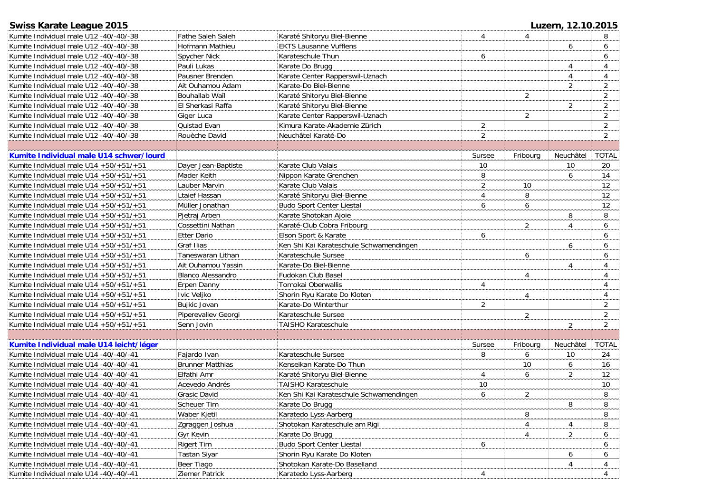| Swiss Karate League 2015                      |                          |                                         |                |                | Luzern, 12.10.2015 |                |
|-----------------------------------------------|--------------------------|-----------------------------------------|----------------|----------------|--------------------|----------------|
| Kumite Individual male U12 -40/-40/-38        | Fathe Saleh Saleh        | Karaté Shitoryu Biel-Bienne             | 4              | $\overline{4}$ |                    |                |
| Kumite Individual male U12 -40/-40/-38        | Hofmann Mathieu          | <b>EKTS Lausanne Vufflens</b>           |                |                | 6                  | 6              |
| Kumite Individual male U12 -40/-40/-38        | Spycher Nick             | Karateschule Thun                       | 6              |                |                    | 6              |
| Kumite Individual male U12 -40/-40/-38        | Pauli Lukas              | Karate Do Brugg                         |                |                | 4                  | 4              |
| Kumite Individual male U12 -40/-40/-38        | Pausner Brenden          | Karate Center Rapperswil-Uznach         |                |                | 4                  | 4              |
| Kumite Individual male U12 -40/-40/-38        | Ait Ouhamou Adam         | Karate-Do Biel-Bienne                   |                |                | $\overline{2}$     | $\overline{2}$ |
| Kumite Individual male U12 -40/-40/-38        | Bouhallab Wail           | Karaté Shitoryu Biel-Bienne             |                | $\overline{2}$ |                    | $\overline{2}$ |
| Kumite Individual male U12 -40/-40/-38        | El Sherkasi Raffa        | Karaté Shitoryu Biel-Bienne             |                |                | $\overline{2}$     | 2              |
| Kumite Individual male U12 -40/-40/-38        | Giger Luca               | Karate Center Rapperswil-Uznach         |                | 2              |                    | $\overline{2}$ |
| Kumite Individual male U12 -40/-40/-38        | Quistad Evan             | Kimura Karate-Akademie Zürich           | 2              |                |                    | $\overline{2}$ |
| Kumite Individual male U12 -40/-40/-38        | Rouèche David            | Neuchâtel Karaté-Do                     | $\overline{2}$ |                |                    | $\overline{2}$ |
|                                               |                          |                                         |                |                |                    |                |
| Kumite Individual male U14 schwer/lourd       |                          |                                         | Sursee         | Fribourg       | Neuchâtel          | <b>TOTAL</b>   |
| Kumite Individual male U14 +50/+51/+51        | Dayer Jean-Baptiste      | Karate Club Valais                      | 10             |                | 10                 | 20             |
| Kumite Individual male U14 +50/+51/+51        | Mader Keith              | Nippon Karate Grenchen                  | 8              |                | 6                  | 14             |
| Kumite Individual male $U14 + 50/ + 51/ + 51$ | Lauber Marvin            | Karate Club Valais                      | 2              | 10             |                    | 12             |
| Kumite Individual male $U14 + 50/ + 51/ + 51$ | Ltaief Hassan            | Karaté Shitoryu Biel-Bienne             | $\overline{4}$ | 8              |                    | 12             |
| Kumite Individual male $U14 + 50/ + 51/ + 51$ | Müller Jonathan          | <b>Budo Sport Center Liestal</b>        | 6              | 6              |                    | 12             |
| Kumite Individual male $U14 + 50/ + 51/ + 51$ | Pjetraj Arben            | Karate Shotokan Ajoie                   |                |                | 8                  | 8              |
| Kumite Individual male U14 +50/+51/+51        | Cossettini Nathan        | Karaté-Club Cobra Fribourg              |                | $\overline{2}$ | 4                  | 6              |
| Kumite Individual male U14 +50/+51/+51        | <b>Etter Dario</b>       | Elson Sport & Karate                    | 6              |                |                    | 6              |
| Kumite Individual male U14 +50/+51/+51        | Graf Ilias               | Ken Shi Kai Karateschule Schwamendingen |                |                | 6                  | 6              |
| Kumite Individual male $U14 + 50/ + 51/ + 51$ | Taneswaran Lithan        | Karateschule Sursee                     |                | 6              |                    | 6              |
| Kumite Individual male $U14 + 50/ + 51/ + 51$ | Ait Ouhamou Yassin       | Karate-Do Biel-Bienne                   |                |                | 4                  | $\overline{4}$ |
| Kumite Individual male $U14 + 50/ + 51/ + 51$ | <b>Blanco Alessandro</b> | Fudokan Club Basel                      |                | 4              |                    | 4              |
| Kumite Individual male $U14 + 50/ + 51/ + 51$ | Erpen Danny              | Tomokai Oberwallis                      | 4              |                |                    | $\overline{4}$ |
| Kumite Individual male U14 +50/+51/+51        | Ivic Veljko              | Shorin Ryu Karate Do Kloten             |                | 4              |                    | $\overline{4}$ |
| Kumite Individual male U14 +50/+51/+51        | Bujkic Jovan             | Karate-Do Winterthur                    | $\overline{2}$ |                |                    | 2              |
| Kumite Individual male U14 +50/+51/+51        | Piperevaliev Georgi      | Karateschule Sursee                     |                | 2              |                    | 2              |
| Kumite Individual male U14 +50/+51/+51        | Senn Jovin               | <b>TAISHO Karateschule</b>              |                |                | $\overline{2}$     | $\overline{2}$ |
|                                               |                          |                                         |                |                |                    |                |
| Kumite Individual male U14 leicht/léger       |                          |                                         | Sursee         | Fribourg       | Neuchâtel          | <b>TOTAL</b>   |
| Kumite Individual male U14 -40/-40/-41        | Fajardo Ivan             | Karateschule Sursee                     | 8              | 6              | 10                 | 24             |
| Kumite Individual male U14 -40/-40/-41        | <b>Brunner Matthias</b>  | Kenseikan Karate-Do Thun                |                | 10             | 6                  | 16             |
| Kumite Individual male U14 -40/-40/-41        | Elfathi Amr              | Karaté Shitoryu Biel-Bienne             | 4              | 6              | $\overline{2}$     | 12             |
| Kumite Individual male U14 -40/-40/-41        | Acevedo Andrés           | TAISHO Karateschule                     | 10             |                |                    | 10             |
| Kumite Individual male U14 -40/-40/-41        | Grasic David             | Ken Shi Kai Karateschule Schwamendingen | 6              | 2              |                    | 8              |
| Kumite Individual male U14 -40/-40/-41        | Scheuer Tim              | Karate Do Brugg                         |                |                | 8                  | $\, 8$         |
| Kumite Individual male U14 -40/-40/-41        | Waber Kjetil             | Karatedo Lyss-Aarberg                   |                | 8              |                    | 8              |
| Kumite Individual male U14 -40/-40/-41        | Zgraggen Joshua          | Shotokan Karateschule am Rigi           |                | 4              | 4                  | 8              |
| Kumite Individual male U14 -40/-40/-41        | Gyr Kevin                | Karate Do Brugg                         |                |                |                    |                |
| Kumite Individual male U14 -40/-40/-41        | <b>Rigert Tim</b>        | <b>Budo Sport Center Liestal</b>        | 6              | 4              | $\overline{2}$     | 6<br>6         |
| Kumite Individual male U14 -40/-40/-41        | <b>Tastan Siyar</b>      | Shorin Ryu Karate Do Kloten             |                |                | 6                  | 6              |
|                                               |                          |                                         |                |                |                    |                |
| Kumite Individual male U14 -40/-40/-41        | Beer Tiago               | Shotokan Karate-Do Baselland            |                |                | 4                  | 4              |
| Kumite Individual male U14 -40/-40/-41        | Ziemer Patrick           | Karatedo Lyss-Aarberg                   | 4              |                |                    | $\overline{4}$ |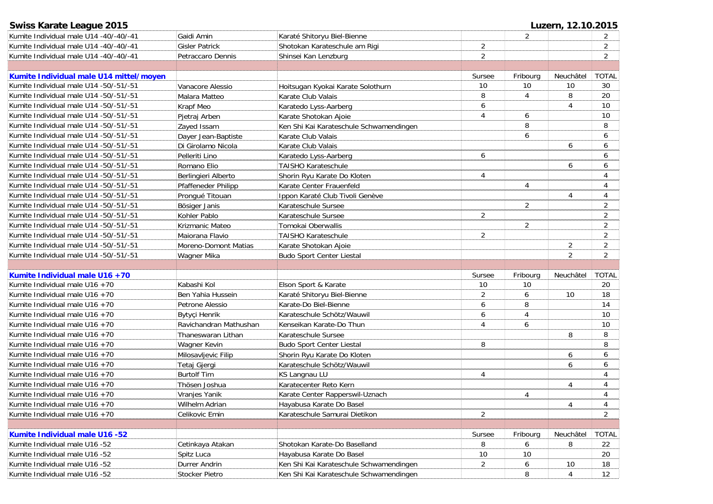| <b>Swiss Karate League 2015</b>         |                        |                                         |                |                | Luzern, 12.10.2015 |                |
|-----------------------------------------|------------------------|-----------------------------------------|----------------|----------------|--------------------|----------------|
| Kumite Individual male U14 -40/-40/-41  | Gaidi Amin             | Karaté Shitoryu Biel-Bienne             |                | $\overline{2}$ |                    |                |
| Kumite Individual male U14 -40/-40/-41  | <b>Gisler Patrick</b>  | Shotokan Karateschule am Rigi           | $\overline{2}$ |                |                    | $\overline{2}$ |
| Kumite Individual male U14 -40/-40/-41  | Petraccaro Dennis      | Shinsei Kan Lenzburg                    | $\overline{2}$ |                |                    | $\overline{2}$ |
|                                         |                        |                                         |                |                |                    |                |
| Kumite Individual male U14 mittel/moyen |                        |                                         | Sursee         | Fribourg       | Neuchâtel          | <b>TOTAL</b>   |
| Kumite Individual male U14 -50/-51/-51  | Vanacore Alessio       | Hoitsugan Kyokai Karate Solothurn       | 10             | 10             | 10                 | 30             |
| Kumite Individual male U14 -50/-51/-51  | Malara Matteo          | Karate Club Valais                      | 8              | 4              | 8                  | 20             |
| Kumite Individual male U14 -50/-51/-51  | Krapf Meo              | Karatedo Lyss-Aarberg                   | 6              |                | $\overline{4}$     | 10             |
| Kumite Individual male U14 -50/-51/-51  | Pjetraj Arben          | Karate Shotokan Ajoie                   | 4              | 6              |                    | 10             |
| Kumite Individual male U14 -50/-51/-51  | Zayed Issam            | Ken Shi Kai Karateschule Schwamendingen |                | 8              |                    | 8              |
| Kumite Individual male U14 -50/-51/-51  | Dayer Jean-Baptiste    | Karate Club Valais                      |                | 6              |                    | 6              |
| Kumite Individual male U14 -50/-51/-51  | Di Girolamo Nicola     | Karate Club Valais                      |                |                | 6                  | 6              |
| Kumite Individual male U14 -50/-51/-51  | Pelleriti Lino         | Karatedo Lyss-Aarberg                   | 6              |                |                    | 6              |
| Kumite Individual male U14 -50/-51/-51  | Romano Elio            | <b>TAISHO Karateschule</b>              |                |                | 6                  | 6              |
| Kumite Individual male U14 -50/-51/-51  | Berlingieri Alberto    | Shorin Ryu Karate Do Kloten             | 4              |                |                    | 4              |
| Kumite Individual male U14 -50/-51/-51  | Pfaffeneder Philipp    | Karate Center Frauenfeld                |                | 4              |                    | 4              |
| Kumite Individual male U14 -50/-51/-51  | Prongué Titouan        | Ippon Karaté Club Tivoli Genève         |                |                | 4                  | 4              |
| Kumite Individual male U14 -50/-51/-51  | Bösiger Janis          | Karateschule Sursee                     |                | $\overline{2}$ |                    | 2              |
| Kumite Individual male U14 -50/-51/-51  | Kohler Pablo           | Karateschule Sursee                     | $\overline{2}$ |                |                    | $\overline{2}$ |
| Kumite Individual male U14 -50/-51/-51  | Krizmanic Mateo        | Tomokai Oberwallis                      |                | $\overline{2}$ |                    | 2              |
| Kumite Individual male U14 -50/-51/-51  | Maiorana Flavio        | <b>TAISHO Karateschule</b>              | $\overline{2}$ |                |                    | $\overline{2}$ |
| Kumite Individual male U14 -50/-51/-51  | Moreno-Domont Matias   | Karate Shotokan Ajoie                   |                |                | 2                  | $\overline{a}$ |
| Kumite Individual male U14 -50/-51/-51  | Wagner Mika            | <b>Budo Sport Center Liestal</b>        |                |                | $\overline{2}$     | $\overline{2}$ |
|                                         |                        |                                         |                |                |                    |                |
| Kumite Individual male U16 +70          |                        |                                         | Sursee         | Fribourg       | Neuchâtel          | <b>TOTAL</b>   |
| Kumite Individual male $U16 + 70$       | Kabashi Kol            | Elson Sport & Karate                    | 10             | 10             |                    | 20             |
| Kumite Individual male U16 +70          | Ben Yahia Hussein      | Karaté Shitoryu Biel-Bienne             | $\overline{2}$ | 6              | 10                 | 18             |
| Kumite Individual male U16 +70          | Petrone Alessio        | Karate-Do Biel-Bienne                   | 6              | 8              |                    | 14             |
| Kumite Individual male U16 +70          | Bytyçi Henrik          | Karateschule Schötz/Wauwil              | 6              | 4              |                    | 10             |
| Kumite Individual male U16 +70          | Ravichandran Mathushan | Kenseikan Karate-Do Thun                | 4              | 6              |                    | 10             |
| Kumite Individual male U16 +70          | Thaneswaran Lithan     | Karateschule Sursee                     |                |                | 8                  | 8              |
| Kumite Individual male U16 +70          | Wagner Kevin           | Budo Sport Center Liestal               | 8              |                |                    | 8              |
| Kumite Individual male U16 +70          | Milosavljevic Filip    | Shorin Ryu Karate Do Kloten             |                |                | 6                  | 6              |
| Kumite Individual male U16 +70          | Tetaj Gjergi           | Karateschule Schötz/Wauwil              |                |                | 6                  | 6              |
| Kumite Individual male U16 +70          | <b>Burtolf Tim</b>     | KS Langnau LU                           | $\overline{4}$ |                |                    | 4              |
| Kumite Individual male U16 +70          | Thösen Joshua          | Karatecenter Reto Kern                  |                |                | 4                  | 4              |
| Kumite Individual male U16 +70          | Vranjes Yanik          | Karate Center Rapperswil-Uznach         |                | 4              |                    | 4              |
| Kumite Individual male U16 +70          | Wilhelm Adrian         | Hayabusa Karate Do Basel                |                |                | 4                  | 4              |
| Kumite Individual male U16 +70          | Celikovic Emin         | Karateschule Samurai Dietikon           | $\overline{2}$ |                |                    | $\overline{2}$ |
|                                         |                        |                                         |                |                |                    |                |
| Kumite Individual male U16 -52          |                        |                                         | Sursee         | Fribourg       | Neuchâtel          | <b>TOTAL</b>   |
| Kumite Individual male U16 -52          | Cetinkaya Atakan       | Shotokan Karate-Do Baselland            | 8              | 6              | 8                  | 22             |
| Kumite Individual male U16 -52          | Spitz Luca             | Hayabusa Karate Do Basel                | 10             | 10             |                    | 20             |
| Kumite Individual male U16 -52          | Durrer Andrin          | Ken Shi Kai Karateschule Schwamendingen | 2              | 6              | 10                 | 18             |
| Kumite Individual male U16 -52          | Stocker Pietro         | Ken Shi Kai Karateschule Schwamendingen |                | 8              | $\overline{4}$     | 12             |
|                                         |                        |                                         |                |                |                    |                |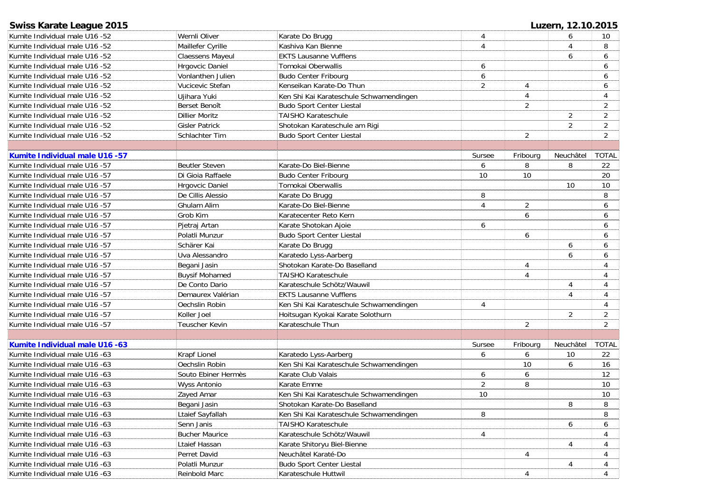| <b>Swiss Karate League 2015</b> |                       |                                         |                |                | Luzern, 12.10.2015 |                 |
|---------------------------------|-----------------------|-----------------------------------------|----------------|----------------|--------------------|-----------------|
| Kumite Individual male U16 -52  | Wernli Oliver         | Karate Do Brugg                         | 4              |                | 6                  | 10              |
| Kumite Individual male U16 -52  | Maillefer Cyrille     | Kashiva Kan Bienne                      | 4              |                | 4                  | 8               |
| Kumite Individual male U16 -52  | Claessens Mayeul      | <b>EKTS Lausanne Vufflens</b>           |                |                | 6                  | 6               |
| Kumite Individual male U16 -52  | Hrgovcic Daniel       | Tomokai Oberwallis                      | 6              |                |                    | 6               |
| Kumite Individual male U16 -52  | Vonlanthen Julien     | <b>Budo Center Fribourg</b>             | 6              |                |                    | 6               |
| Kumite Individual male U16 -52  | Vucicevic Stefan      | Kenseikan Karate-Do Thun                | $\overline{2}$ | 4              |                    | 6               |
| Kumite Individual male U16 -52  | Ujihara Yuki          | Ken Shi Kai Karateschule Schwamendingen |                | $\overline{4}$ |                    | 4               |
| Kumite Individual male U16 -52  | Berset Benoît         | <b>Budo Sport Center Liestal</b>        |                | 2              |                    | 2               |
| Kumite Individual male U16 -52  | <b>Dillier Moritz</b> | <b>TAISHO Karateschule</b>              |                |                | 2                  | 2               |
| Kumite Individual male U16 -52  | <b>Gisler Patrick</b> | Shotokan Karateschule am Rigi           |                |                | 2                  | $\overline{2}$  |
| Kumite Individual male U16 -52  | Schlachter Tim        | <b>Budo Sport Center Liestal</b>        |                | $\overline{2}$ |                    | $\overline{2}$  |
|                                 |                       |                                         |                |                |                    |                 |
| Kumite Individual male U16 -57  |                       |                                         | Sursee         | Fribourg       | Neuchâtel          | <b>TOTAL</b>    |
| Kumite Individual male U16 -57  | <b>Beutler Steven</b> | Karate-Do Biel-Bienne                   | 6              | 8              | 8                  | 22              |
| Kumite Individual male U16 -57  | Di Gioia Raffaele     | <b>Budo Center Fribourg</b>             | 10             | 10             |                    | 20              |
| Kumite Individual male U16 -57  | Hrgovcic Daniel       | Tomokai Oberwallis                      |                |                | 10                 | 10              |
| Kumite Individual male U16 -57  | De Cillis Alessio     | Karate Do Brugg                         | 8              |                |                    | 8               |
| Kumite Individual male U16 -57  | Ghulam Alim           | Karate-Do Biel-Bienne                   | 4              | $\overline{2}$ |                    | 6               |
| Kumite Individual male U16 -57  | Grob Kim              | Karatecenter Reto Kern                  |                | 6              |                    | 6               |
| Kumite Individual male U16 -57  | Pjetraj Artan         | Karate Shotokan Ajoie                   | 6              |                |                    | 6               |
| Kumite Individual male U16 -57  | Polatli Munzur        | <b>Budo Sport Center Liestal</b>        |                | 6              |                    | 6               |
| Kumite Individual male U16 -57  | Schärer Kai           | Karate Do Brugg                         |                |                | 6                  | 6               |
| Kumite Individual male U16 -57  | Uva Alessandro        | Karatedo Lyss-Aarberg                   |                |                | 6                  | 6               |
| Kumite Individual male U16 -57  | Begani Jasin          | Shotokan Karate-Do Baselland            |                | 4              |                    | 4               |
| Kumite Individual male U16 -57  | <b>Buysif Mohamed</b> | <b>TAISHO Karateschule</b>              |                | 4              |                    | 4               |
| Kumite Individual male U16 -57  | De Conto Dario        | Karateschule Schötz/Wauwil              |                |                | 4                  | 4               |
| Kumite Individual male U16 -57  | Demaurex Valérian     | <b>EKTS Lausanne Vufflens</b>           |                |                | $\overline{4}$     | 4               |
| Kumite Individual male U16 -57  | Oechslin Robin        | Ken Shi Kai Karateschule Schwamendingen | 4              |                |                    | 4               |
| Kumite Individual male U16 -57  | Koller Joel           | Hoitsugan Kyokai Karate Solothurn       |                |                | 2                  | $\overline{a}$  |
| Kumite Individual male U16 -57  | <b>Teuscher Kevin</b> | Karateschule Thun                       |                | $\overline{2}$ |                    | $\overline{a}$  |
|                                 |                       |                                         |                |                |                    |                 |
| Kumite Individual male U16 -63  |                       |                                         | Sursee         | Fribourg       | Neuchâtel          | <b>TOTAL</b>    |
| Kumite Individual male U16 -63  | <b>Krapf Lionel</b>   | Karatedo Lyss-Aarberg                   | 6              | 6              | 10                 | 22              |
| Kumite Individual male U16 -63  | Oechslin Robin        | Ken Shi Kai Karateschule Schwamendingen |                | 10             | 6                  | 16              |
| Kumite Individual male U16 -63  | Souto Ebiner Hermès   | Karate Club Valais                      | 6              | 6              |                    | 12              |
| Kumite Individual male U16 -63  | <b>Wyss Antonio</b>   | Karate Emme                             | $\overline{2}$ | 8              |                    | 10              |
| Kumite Individual male U16 -63  | Zayed Amar            | Ken Shi Kai Karateschule Schwamendingen | 10             |                |                    | 10 <sup>°</sup> |
| Kumite Individual male U16 -63  | Begani Jasin          | Shotokan Karate-Do Baselland            |                |                | 8                  | 8               |
| Kumite Individual male U16 -63  | Ltaief Sayfallah      | Ken Shi Kai Karateschule Schwamendingen | 8              |                |                    | 8               |
| Kumite Individual male U16 -63  | Senn Janis            | <b>TAISHO Karateschule</b>              |                |                | 6                  | 6               |
| Kumite Individual male U16 -63  | <b>Bucher Maurice</b> | Karateschule Schötz/Wauwil              | 4              |                |                    | 4               |
| Kumite Individual male U16 -63  | Ltaief Hassan         | Karate Shitoryu Biel-Bienne             |                |                | 4                  | 4               |
| Kumite Individual male U16 -63  | Perret David          | Neuchâtel Karaté-Do                     |                | 4              |                    | 4               |
| Kumite Individual male U16 -63  | Polatli Munzur        | <b>Budo Sport Center Liestal</b>        |                |                | 4                  | 4               |
| Kumite Individual male U16 -63  | Reinbold Marc         | Karateschule Huttwil                    |                | 4              |                    | 4               |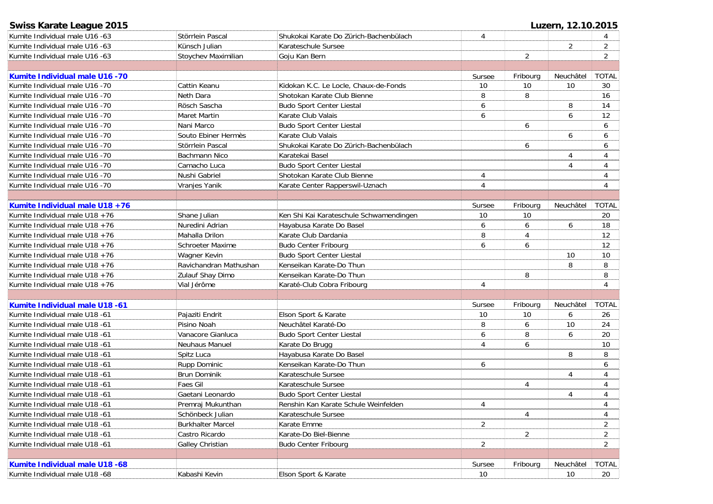| Swiss Karate League 2015          |                          |                                         |                |                | Luzern, 12.10.2015 |                |
|-----------------------------------|--------------------------|-----------------------------------------|----------------|----------------|--------------------|----------------|
| Kumite Individual male U16 -63    | Störrlein Pascal         | Shukokai Karate Do Zürich-Bachenbülach  | $\overline{4}$ |                |                    |                |
| Kumite Individual male U16 -63    | Künsch Julian            | Karateschule Sursee                     |                |                | $\overline{a}$     | $\overline{2}$ |
| Kumite Individual male U16 -63    | Stoychev Maximilian      | Goju Kan Bern                           |                | $\overline{2}$ |                    | $\overline{2}$ |
|                                   |                          |                                         |                |                |                    |                |
| Kumite Individual male U16 -70    |                          |                                         | Sursee         | Fribourg       | Neuchâtel          | <b>TOTAL</b>   |
| Kumite Individual male U16 -70    | Cattin Keanu             | Kidokan K.C. Le Locle, Chaux-de-Fonds   | 10             | 10             | 10                 | 30             |
| Kumite Individual male U16 -70    | Neth Dara                | Shotokan Karate Club Bienne             | 8              | 8              |                    | 16             |
| Kumite Individual male U16 -70    | Rösch Sascha             | <b>Budo Sport Center Liestal</b>        | 6              |                | 8                  | 14             |
| Kumite Individual male U16 -70    | <b>Maret Martin</b>      | Karate Club Valais                      | 6              |                | 6                  | 12             |
| Kumite Individual male U16 -70    | Nani Marco               | <b>Budo Sport Center Liestal</b>        |                | 6              |                    | 6              |
| Kumite Individual male U16 -70    | Souto Ebiner Hermès      | Karate Club Valais                      |                |                | 6                  | 6              |
| Kumite Individual male U16 -70    | Störrlein Pascal         | Shukokai Karate Do Zürich-Bachenbülach  |                | 6              |                    | 6              |
| Kumite Individual male U16 -70    | <b>Bachmann Nico</b>     | Karatekai Basel                         |                |                | 4                  | 4              |
| Kumite Individual male U16 -70    | Camacho Luca             | <b>Budo Sport Center Liestal</b>        |                |                | 4                  | $\overline{4}$ |
| Kumite Individual male U16 -70    | Nushi Gabriel            | Shotokan Karate Club Bienne             | 4              |                |                    | 4              |
| Kumite Individual male U16 -70    | Vranjes Yanik            | Karate Center Rapperswil-Uznach         | $\overline{4}$ |                |                    | 4              |
|                                   |                          |                                         |                |                |                    |                |
| Kumite Individual male U18 +76    |                          |                                         | Sursee         | Fribourg       | Neuchâtel          | <b>TOTAL</b>   |
| Kumite Individual male $U18 + 76$ | Shane Julian             | Ken Shi Kai Karateschule Schwamendingen | 10             | 10             |                    | 20             |
| Kumite Individual male U18 +76    | Nuredini Adrian          | Hayabusa Karate Do Basel                | 6              | 6              | 6                  | 18             |
| Kumite Individual male $U18 + 76$ | Mahalla Drilon           | Karate Club Dardania                    | 8              | 4              |                    | 12             |
| Kumite Individual male $U18 + 76$ | <b>Schroeter Maxime</b>  | <b>Budo Center Fribourg</b>             | 6              | 6              |                    | 12             |
| Kumite Individual male $U18 + 76$ | Wagner Kevin             | <b>Budo Sport Center Liestal</b>        |                |                | 10                 | 10             |
| Kumite Individual male $U18 + 76$ | Ravichandran Mathushan   | Kenseikan Karate-Do Thun                |                |                | 8                  | 8              |
| Kumite Individual male $U18 + 76$ | Zulauf Shay Dimo         | Kenseikan Karate-Do Thun                |                | 8              |                    | 8              |
| Kumite Individual male $U18 + 76$ | Vial Jérôme              | Karaté-Club Cobra Fribourg              | $\overline{4}$ |                |                    | 4              |
|                                   |                          |                                         |                |                |                    |                |
| Kumite Individual male U18 -61    |                          |                                         | Sursee         | Fribourg       | Neuchâtel          | <b>TOTAL</b>   |
| Kumite Individual male U18 -61    | Pajaziti Endrit          | Elson Sport & Karate                    | 10             | 10             | 6                  | 26             |
| Kumite Individual male U18 -61    | Pisino Noah              | Neuchâtel Karaté-Do                     | 8              | 6              | 10                 | 24             |
| Kumite Individual male U18 -61    | Vanacore Gianluca        | Budo Sport Center Liestal               | 6              | 8              | 6                  | 20             |
| Kumite Individual male U18 -61    | Neuhaus Manuel           | Karate Do Brugg                         | 4              | 6              |                    | 10             |
| Kumite Individual male U18 -61    | Spitz Luca               | Hayabusa Karate Do Basel                |                |                | 8                  | 8              |
| Kumite Individual male U18 -61    | Rupp Dominic             | Kenseikan Karate-Do Thun                | 6              |                |                    | 6              |
| Kumite Individual male U18 -61    | <b>Brun Dominik</b>      | Karateschule Sursee                     |                |                | 4                  | 4              |
| Kumite Individual male U18 -61    | <b>Faes Gil</b>          | Karateschule Sursee                     |                | 4              |                    | 4              |
| Kumite Individual male U18 -61    | Gaetani Leonardo         | Budo Sport Center Liestal               |                |                | 4                  | 4              |
| Kumite Individual male U18 -61    | Premraj Mukunthan        | Renshin Kan Karate Schule Weinfelden    | 4              |                |                    | 4              |
| Kumite Individual male U18 -61    | Schönbeck Julian         | Karateschule Sursee                     |                | 4              |                    | 4              |
| Kumite Individual male U18 -61    | <b>Burkhalter Marcel</b> | Karate Emme                             | $\overline{2}$ |                |                    | 2              |
| Kumite Individual male U18 -61    | Castro Ricardo           | Karate-Do Biel-Bienne                   |                | 2              |                    | $\overline{2}$ |
| Kumite Individual male U18 -61    | Galley Christian         | <b>Budo Center Fribourg</b>             | $\overline{2}$ |                |                    | $\overline{2}$ |
|                                   |                          |                                         |                |                |                    |                |
| Kumite Individual male U18 -68    |                          |                                         | Sursee         | Fribourg       | Neuchâtel          | <b>TOTAL</b>   |
| Kumite Individual male U18 -68    | Kabashi Kevin            | Elson Sport & Karate                    | 10             |                | 10                 | 20             |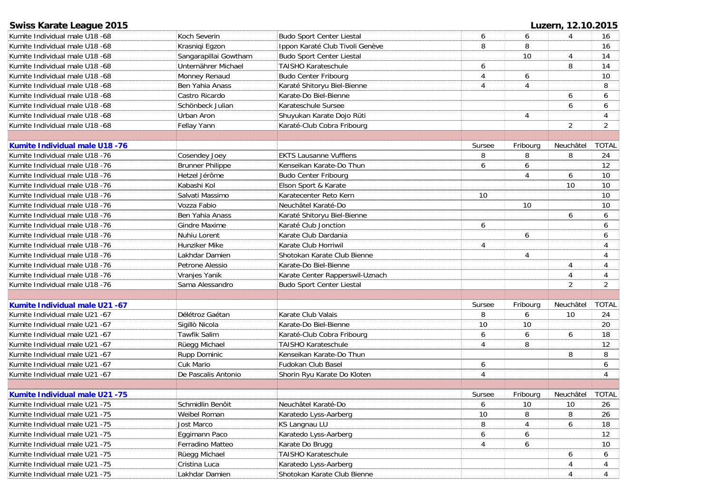| <b>Swiss Karate League 2015</b>       |                         |                                  |        |                | Luzern, 12.10.2015          |                |
|---------------------------------------|-------------------------|----------------------------------|--------|----------------|-----------------------------|----------------|
| Kumite Individual male U18 -68        | Koch Severin            | <b>Budo Sport Center Liestal</b> | 6      | 6              | $\boldsymbol{\vartriangle}$ | 16             |
| Kumite Individual male U18 -68        | Krasniqi Eqzon          | Ippon Karaté Club Tivoli Genève  | 8      | 8              |                             | 16             |
| Kumite Individual male U18 -68        | Sangarapillai Gowtham   | <b>Budo Sport Center Liestal</b> |        | 10             | $\overline{4}$              | 14             |
| Kumite Individual male U18 -68        | Unternährer Michael     | <b>TAISHO Karateschule</b>       | 6      |                | 8                           | 14             |
| Kumite Individual male U18 -68        | Monney Renaud           | <b>Budo Center Fribourg</b>      | 4      | 6              |                             | 10             |
| Kumite Individual male U18 -68        | Ben Yahia Anass         | Karaté Shitoryu Biel-Bienne      | 4      | $\overline{4}$ |                             | 8              |
| Kumite Individual male U18 -68        | Castro Ricardo          | Karate-Do Biel-Bienne            |        |                | 6                           | 6              |
| Kumite Individual male U18 -68        | Schönbeck Julian        | Karateschule Sursee              |        |                | 6                           | 6              |
| Kumite Individual male U18 -68        | Urban Aron              | Shuyukan Karate Dojo Rüti        |        | 4              |                             | 4              |
| Kumite Individual male U18 -68        | Fellay Yann             | Karaté-Club Cobra Fribourg       |        |                | 2                           | $\overline{2}$ |
|                                       |                         |                                  |        |                |                             |                |
| <b>Kumite Individual male U18 -76</b> |                         |                                  | Sursee | Fribourg       | Neuchâtel                   | <b>TOTAL</b>   |
| Kumite Individual male U18 -76        | Cosendey Joey           | <b>EKTS Lausanne Vufflens</b>    | 8      | 8              | 8                           | 24             |
| Kumite Individual male U18 -76        | <b>Brunner Philippe</b> | Kenseikan Karate-Do Thun         | 6      | 6              |                             | 12             |
| Kumite Individual male U18 -76        | Hetzel Jérôme           | Budo Center Fribourg             |        | $\overline{4}$ | 6                           | 10             |
| Kumite Individual male U18 -76        | Kabashi Kol             | Elson Sport & Karate             |        |                | 10                          | 10             |
| Kumite Individual male U18 -76        | Salvati Massimo         | Karatecenter Reto Kern           | $10\,$ |                |                             | 10             |
| Kumite Individual male U18 -76        | Vozza Fabio             | Neuchâtel Karaté-Do              |        | 10             |                             | 10             |
| Kumite Individual male U18 -76        | Ben Yahia Anass         | Karaté Shitoryu Biel-Bienne      |        |                | 6                           | 6              |
| Kumite Individual male U18 -76        | <b>Gindre Maxime</b>    | Karaté Club Jonction             | 6      |                |                             | 6              |
| Kumite Individual male U18 -76        | Nuhiu Lorent            | Karate Club Dardania             |        | 6              |                             | 6              |
| Kumite Individual male U18 -76        | Hunziker Mike           | Karate Club Horriwil             | 4      |                |                             | 4              |
| Kumite Individual male U18 -76        | Lakhdar Damien          | Shotokan Karate Club Bienne      |        | 4              |                             | 4              |
| Kumite Individual male U18 -76        | Petrone Alessio         | Karate-Do Biel-Bienne            |        |                | $\overline{4}$              | 4              |
| Kumite Individual male U18 -76        | Vranjes Yanik           | Karate Center Rapperswil-Uznach  |        |                | $\overline{4}$              | 4              |
| Kumite Individual male U18 -76        | Sama Alessandro         | <b>Budo Sport Center Liestal</b> |        |                | $\overline{2}$              | $\overline{2}$ |
|                                       |                         |                                  |        |                |                             |                |
| Kumite Individual male U21 -67        |                         |                                  | Sursee | Fribourg       | Neuchâtel                   | <b>TOTAL</b>   |
| Kumite Individual male U21 -67        | Délétroz Gaétan         | Karate Club Valais               | 8      | 6              | 10                          | 24             |
| Kumite Individual male U21 -67        | Sigillò Nicola          | Karate-Do Biel-Bienne            | 10     | 10             |                             | 20             |
| Kumite Individual male U21 -67        | Tawfik Salim            | Karaté-Club Cobra Fribourg       | 6      | 6              | 6                           | 18             |
| Kumite Individual male U21 -67        | Rüegg Michael           | <b>TAISHO Karateschule</b>       | 4      | 8              |                             | 12             |
| Kumite Individual male U21 -67        | Rupp Dominic            | Kenseikan Karate-Do Thun         |        |                | 8                           | 8              |
| Kumite Individual male U21 -67        | Cuk Mario               | Fudokan Club Basel               | 6      |                |                             | 6              |
| Kumite Individual male U21 -67        | De Pascalis Antonio     | Shorin Ryu Karate Do Kloten      | 4      |                |                             | 4              |
|                                       |                         |                                  |        |                |                             |                |
| <b>Kumite Individual male U21 -75</b> |                         |                                  | Sursee | Fribourg       | Neuchâtel                   | <b>TOTAL</b>   |
| Kumite Individual male U21 -75        | Schmidlin Benôit        | Neuchâtel Karaté-Do              | 6      | 10             | 10                          | 26             |
| Kumite Individual male U21 -75        | Weibel Roman            | Karatedo Lyss-Aarberg            | 10     | 8              | 8                           | 26             |
| Kumite Individual male U21 -75        | Jost Marco              | KS Langnau LU                    | 8      | 4              | 6                           | 18             |
| Kumite Individual male U21 -75        | Eggimann Paco           | Karatedo Lyss-Aarberg            | 6      | 6              |                             | 12             |
| Kumite Individual male U21 -75        | Ferradino Matteo        | Karate Do Brugg                  | 4      | 6              |                             | 10             |
| Kumite Individual male U21 -75        | Rüegg Michael           | TAISHO Karateschule              |        |                | 6                           | 6              |
| Kumite Individual male U21 -75        | Cristina Luca           | Karatedo Lyss-Aarberg            |        |                |                             | 4              |
| Kumite Individual male U21 -75        | Lakhdar Damien          | Shotokan Karate Club Bienne      |        |                |                             | 4              |